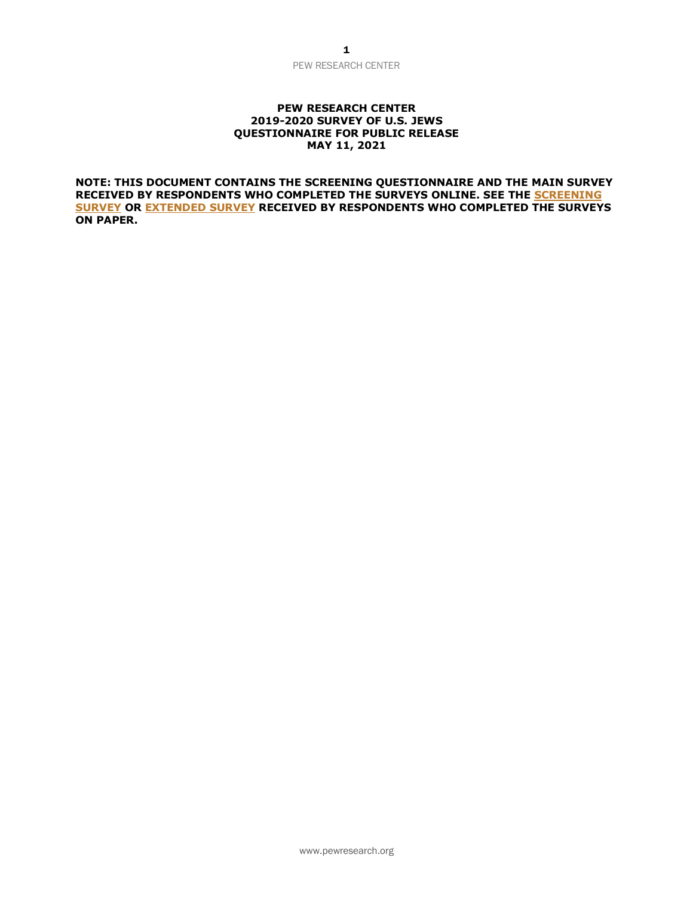### **PEW RESEARCH CENTER 2019-2020 SURVEY OF U.S. JEWS QUESTIONNAIRE FOR PUBLIC RELEASE MAY 11, 2021**

**NOTE: THIS DOCUMENT CONTAINS THE SCREENING QUESTIONNAIRE AND THE MAIN SURVEY RECEIVED BY RESPONDENTS WHO COMPLETED THE SURVEYS ONLINE. SEE TH[E SCREENING](https://www.pewforum.org/wp-content/uploads/sites/7/2021/04/PF_05.11.21.Jewish_Survey_Mail_Screening-Questionnaire.pdf)  [SURVEY](https://www.pewforum.org/wp-content/uploads/sites/7/2021/04/PF_05.11.21.Jewish_Survey_Mail_Screening-Questionnaire.pdf) OR [EXTENDED SURVEY](https://www.pewforum.org/wp-content/uploads/sites/7/2021/04/PF_05.11.21.Jewish_Survey_Mail_Extended_Questionnaire.pdf) RECEIVED BY RESPONDENTS WHO COMPLETED THE SURVEYS ON PAPER.**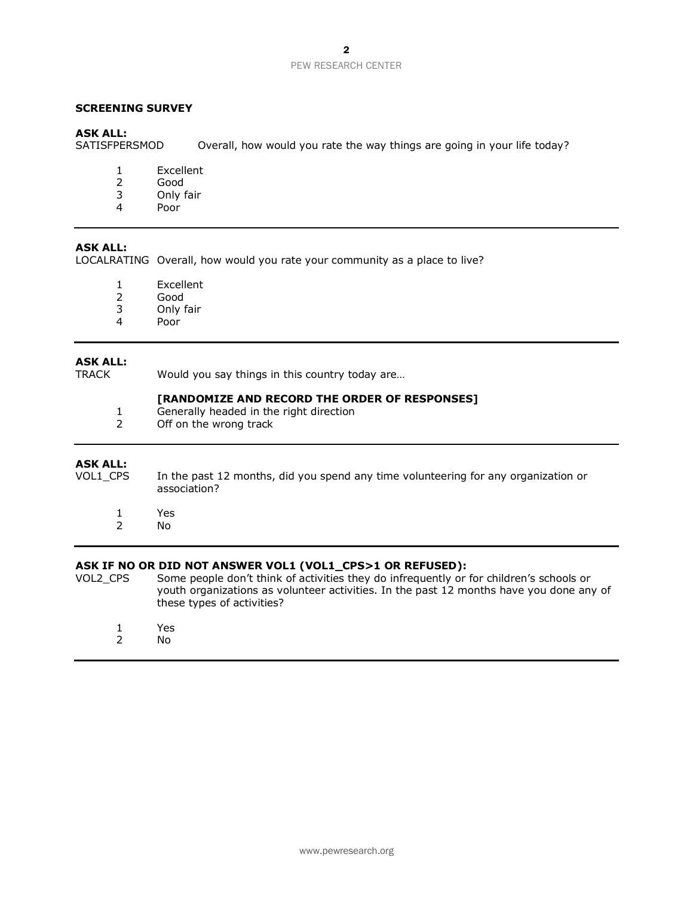# **SCREENING SURVEY**

**ASK ALL:** Overall, how would you rate the way things are going in your life today?

- 1 Excellent
- 2 Good
- 3 Only fair
- Poor

#### **ASK ALL:**

LOCALRATING Overall, how would you rate your community as a place to live?

- 1 Excellent
- 2 Good
- 3 Only fair
- 4 Poor

# **ASK ALL:**

TRACK Would you say things in this country today are…

# **[RANDOMIZE AND RECORD THE ORDER OF RESPONSES]**

- 1 Generally headed in the right direction
- 2 Off on the wrong track

#### **ASK ALL:**

- VOL1\_CPS In the past 12 months, did you spend any time volunteering for any organization or association?
	- 1 Yes
	- 2 No

# **ASK IF NO OR DID NOT ANSWER VOL1 (VOL1\_CPS>1 OR REFUSED):**

- VOL2\_CPS Some people don't think of activities they do infrequently or for children's schools or youth organizations as volunteer activities. In the past 12 months have you done any of these types of activities?
	- 1 Yes
	- 2 No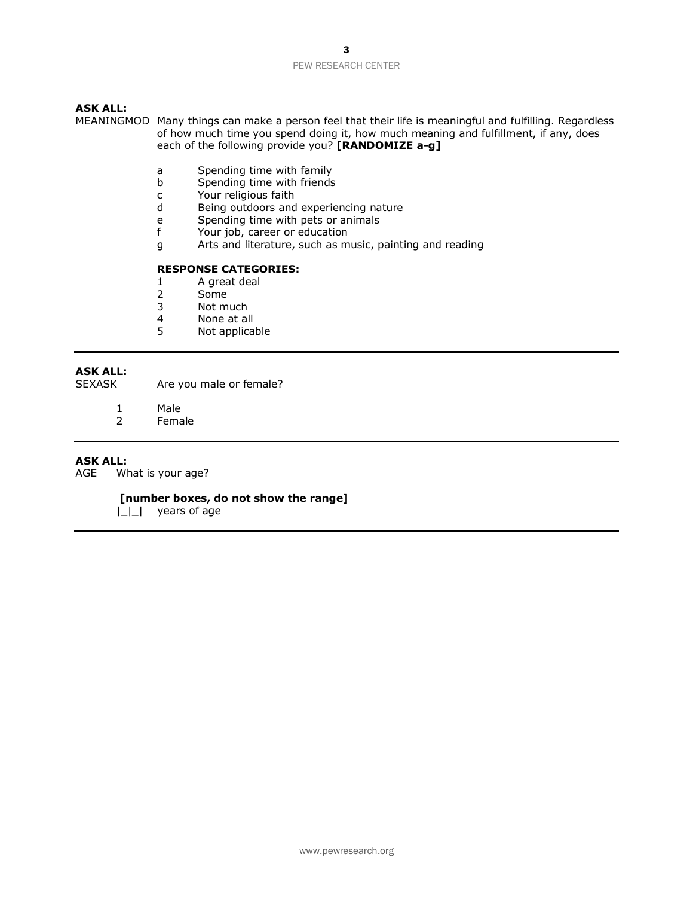# **ASK ALL:**

MEANINGMOD Many things can make a person feel that their life is meaningful and fulfilling. Regardless of how much time you spend doing it, how much meaning and fulfillment, if any, does each of the following provide you? **[RANDOMIZE a-g]**

- a Spending time with family
- b Spending time with friends
- c Your religious faith
- d Being outdoors and experiencing nature
- e Spending time with pets or animals
- f Your job, career or education
- g Arts and literature, such as music, painting and reading

# **RESPONSE CATEGORIES:**

- 1 A great deal<br>2 Some
- Some
- 3 Not much<br>4 None at al
- 4 None at all<br>5 Not applica
- Not applicable

# **ASK ALL:**

SEXASK Are you male or female?

- 1 Male
- 2 Female

# **ASK ALL:**

AGE What is your age?

# **[number boxes, do not show the range]**

|\_|\_| years of age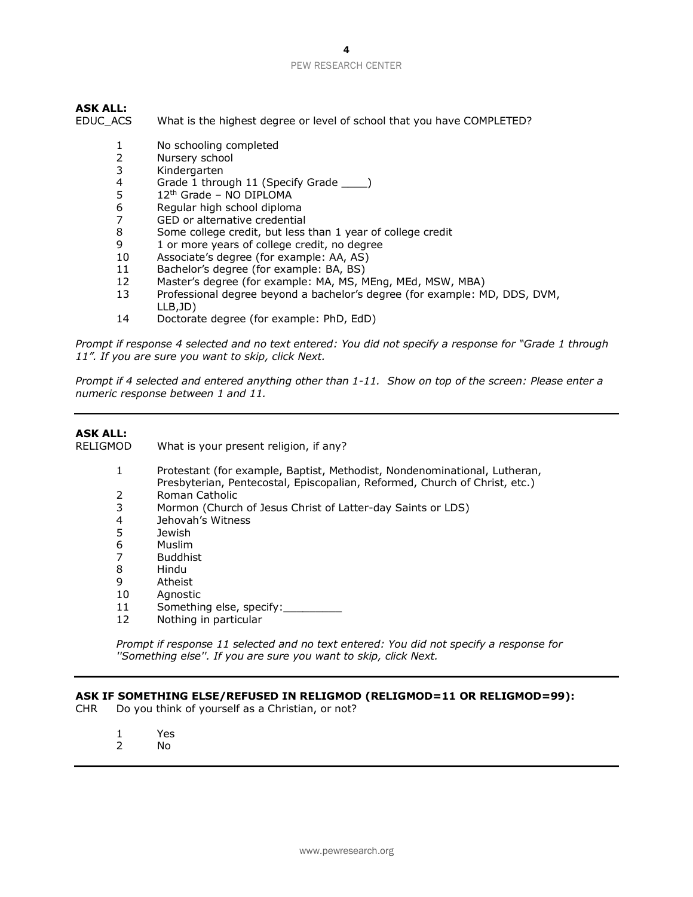# **ASK ALL:**

- EDUC\_ACS What is the highest degree or level of school that you have COMPLETED?
	- 1 No schooling completed
	- 2 Nursery school
	- 3 Kindergarten
	- 4 Grade 1 through 11 (Specify Grade \_\_\_\_)
	- 5 12th Grade NO DIPLOMA
	- 6 Regular high school diploma
	- 7 GED or alternative credential
	- 8 Some college credit, but less than 1 year of college credit
	- 9 1 or more years of college credit, no degree
	- 10 Associate's degree (for example: AA, AS)
	- 11 Bachelor's degree (for example: BA, BS)
	- 12 Master's degree (for example: MA, MS, MEng, MEd, MSW, MBA)
	- 13 Professional degree beyond a bachelor's degree (for example: MD, DDS, DVM, LLB,JD)
	- 14 Doctorate degree (for example: PhD, EdD)

*Prompt if response 4 selected and no text entered: You did not specify a response for "Grade 1 through 11". If you are sure you want to skip, click Next.*

*Prompt if 4 selected and entered anything other than 1-11. Show on top of the screen: Please enter a numeric response between 1 and 11.*

# **ASK ALL:** RELIGMOD What is your present religion, if any?

- 1 Protestant (for example, Baptist, Methodist, Nondenominational, Lutheran, Presbyterian, Pentecostal, Episcopalian, Reformed, Church of Christ, etc.)
- 2 Roman Catholic
- 3 Mormon (Church of Jesus Christ of Latter-day Saints or LDS)
- 4 Jehovah's Witness
- 5 Jewish
- 6 Muslim
- 7 Buddhist
- 8 Hindu
- 9 Atheist
- 10 Agnostic
- 11 Something else, specify:
- 12 Nothing in particular

*Prompt if response 11 selected and no text entered: You did not specify a response for ''Something else''. If you are sure you want to skip, click Next.*

#### **ASK IF SOMETHING ELSE/REFUSED IN RELIGMOD (RELIGMOD=11 OR RELIGMOD=99):**

- CHR Do you think of yourself as a Christian, or not?
	- 1 Yes
	- 2 No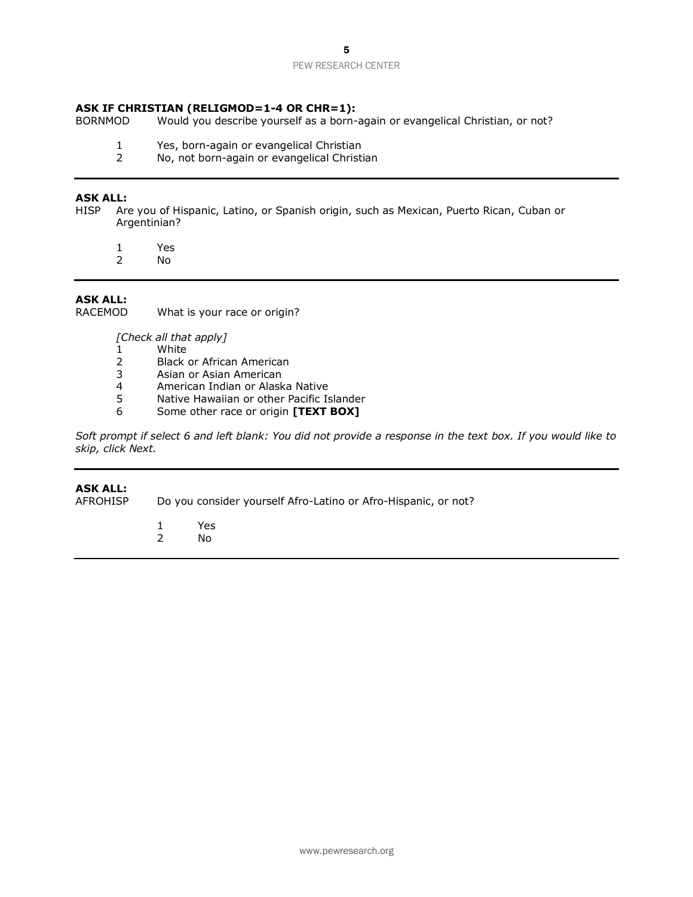# **ASK IF CHRISTIAN (RELIGMOD=1-4 OR CHR=1):**

BORNMOD Would you describe yourself as a born-again or evangelical Christian, or not?

- 1 Yes, born-again or evangelical Christian
- 2 No, not born-again or evangelical Christian

# **ASK ALL:**

HISP Are you of Hispanic, Latino, or Spanish origin, such as Mexican, Puerto Rican, Cuban or Argentinian?

- 1 Yes
- No.

# **ASK ALL:**

What is your race or origin?

*[Check all that apply]*

- 1 White
- 2 Black or African American
- 3 Asian or Asian American<br>4 American Indian or Alask
- 4 American Indian or Alaska Native<br>5 Native Hawaiian or other Pacific Is
- 5 Native Hawaiian or other Pacific Islander<br>6 Some other race or origin **[TEXT BOX]**
- 6 Some other race or origin **[TEXT BOX]**

*Soft prompt if select 6 and left blank: You did not provide a response in the text box. If you would like to skip, click Next.*

# **ASK ALL:**<br>AFROHISP

Do you consider yourself Afro-Latino or Afro-Hispanic, or not?

1 Yes No.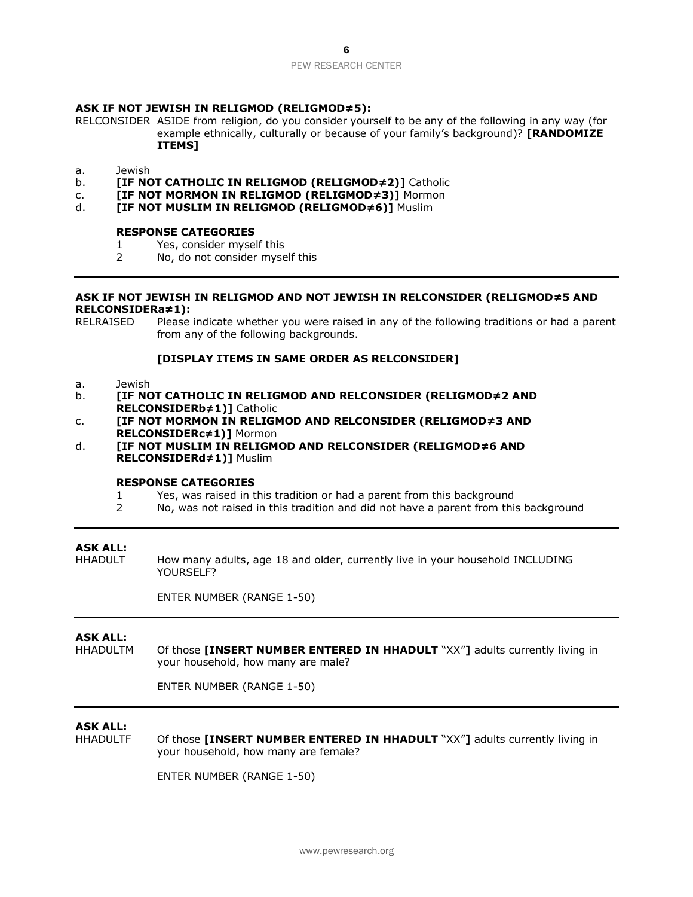#### **ASK IF NOT JEWISH IN RELIGMOD (RELIGMOD≠5):**

RELCONSIDER ASIDE from religion, do you consider yourself to be any of the following in any way (for example ethnically, culturally or because of your family's background)? **[RANDOMIZE ITEMS]**

- a. Jewish
- b. **[IF NOT CATHOLIC IN RELIGMOD (RELIGMOD≠2)]** Catholic
- c. **[IF NOT MORMON IN RELIGMOD (RELIGMOD≠3)]** Mormon
- d. **[IF NOT MUSLIM IN RELIGMOD (RELIGMOD≠6)]** Muslim

#### **RESPONSE CATEGORIES**

- 1 Yes, consider myself this
- 2 No, do not consider myself this

#### **ASK IF NOT JEWISH IN RELIGMOD AND NOT JEWISH IN RELCONSIDER (RELIGMOD≠5 AND RELCONSIDERa≠1):**

RELRAISED Please indicate whether you were raised in any of the following traditions or had a parent from any of the following backgrounds.

#### **[DISPLAY ITEMS IN SAME ORDER AS RELCONSIDER]**

- a. Jewish
- b. **[IF NOT CATHOLIC IN RELIGMOD AND RELCONSIDER (RELIGMOD≠2 AND RELCONSIDERb≠1)]** Catholic
- c. **[IF NOT MORMON IN RELIGMOD AND RELCONSIDER (RELIGMOD≠3 AND RELCONSIDERc≠1)]** Mormon
- d. **[IF NOT MUSLIM IN RELIGMOD AND RELCONSIDER (RELIGMOD≠6 AND RELCONSIDERd≠1)]** Muslim

#### **RESPONSE CATEGORIES**

- 1 Yes, was raised in this tradition or had a parent from this background
- 2 No, was not raised in this tradition and did not have a parent from this background

#### **ASK ALL:**

HHADULT How many adults, age 18 and older, currently live in your household INCLUDING YOURSELF?

ENTER NUMBER (RANGE 1-50)

# **ASK ALL:**

HHADULTM Of those **[INSERT NUMBER ENTERED IN HHADULT** "XX"**]** adults currently living in your household, how many are male?

ENTER NUMBER (RANGE 1-50)

# **ASK ALL:**

HHADULTF Of those **[INSERT NUMBER ENTERED IN HHADULT** "XX"**]** adults currently living in your household, how many are female?

ENTER NUMBER (RANGE 1-50)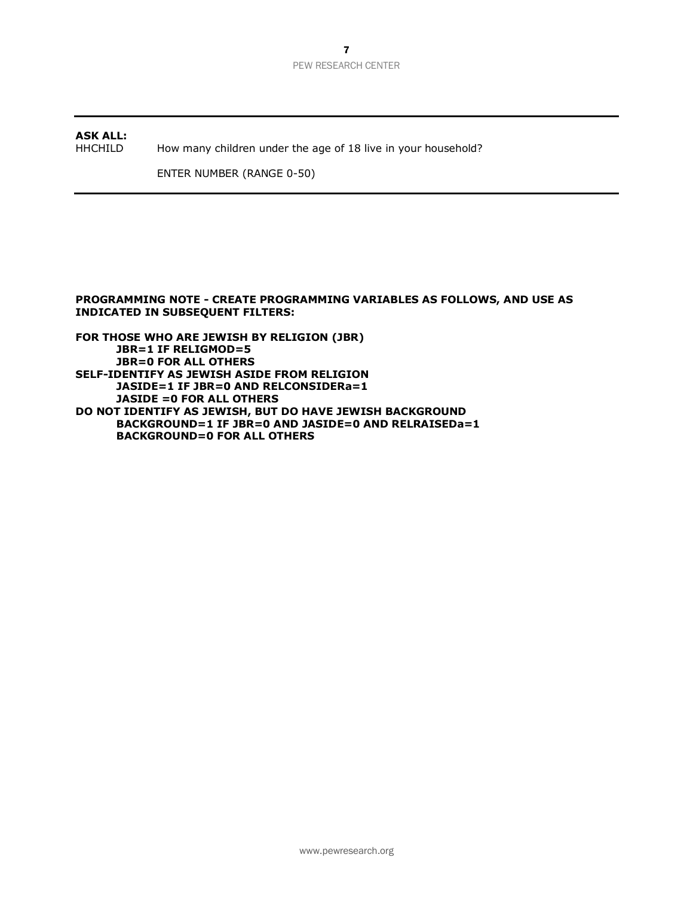**ASK ALL:** HHCHILD How many children under the age of 18 live in your household?

ENTER NUMBER (RANGE 0-50)

# **PROGRAMMING NOTE - CREATE PROGRAMMING VARIABLES AS FOLLOWS, AND USE AS INDICATED IN SUBSEQUENT FILTERS:**

**FOR THOSE WHO ARE JEWISH BY RELIGION (JBR) JBR=1 IF RELIGMOD=5 JBR=0 FOR ALL OTHERS SELF-IDENTIFY AS JEWISH ASIDE FROM RELIGION JASIDE=1 IF JBR=0 AND RELCONSIDERa=1 JASIDE =0 FOR ALL OTHERS DO NOT IDENTIFY AS JEWISH, BUT DO HAVE JEWISH BACKGROUND BACKGROUND=1 IF JBR=0 AND JASIDE=0 AND RELRAISEDa=1 BACKGROUND=0 FOR ALL OTHERS**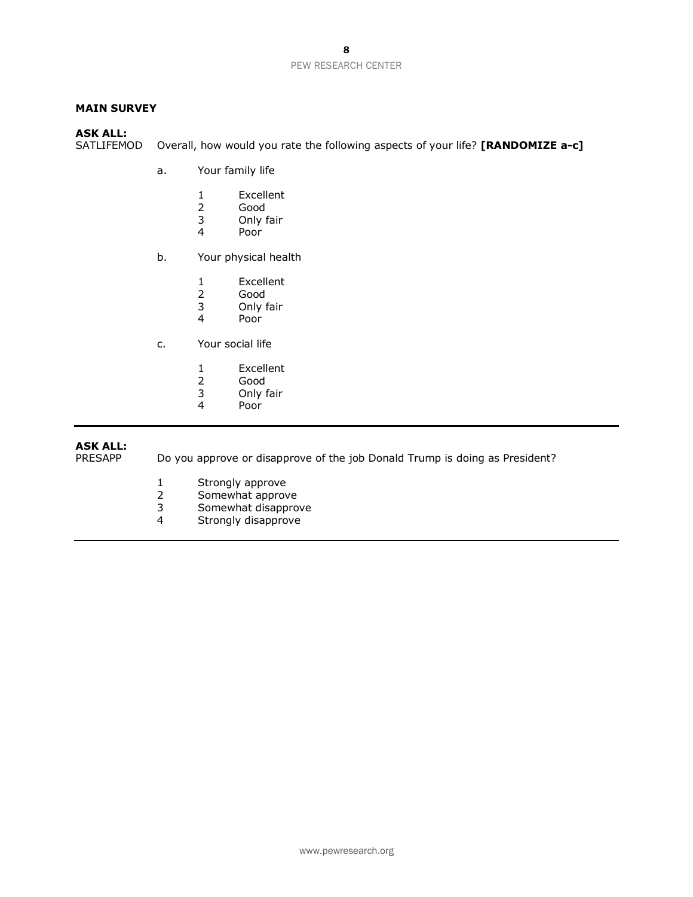# **MAIN SURVEY**

**ASK ALL:** Overall, how would you rate the following aspects of your life? **[RANDOMIZE a-c]** 

- a. Your family life
	-
	- 1 Excellent<br>2 Good 2 Good<br>3 Only f
	- 3 Only fair
	- Poor
- b. Your physical health
	- 1 Excellent<br>2 Good
	- Good
	- 3 Only fair
	- Poor
- c. Your social life
	- 1 Excellent<br>2 Good
	- 2 Good<br>3 Only f
	- 3 Only fair
	- Poor

# **ASK ALL:**

PRESAPP Do you approve or disapprove of the job Donald Trump is doing as President?

- 1 Strongly approve<br>2 Somewhat approv
- 2 Somewhat approve<br>3 Somewhat disapprove
- 3 Somewhat disapprove<br>4 Strongly disapprove
- Strongly disapprove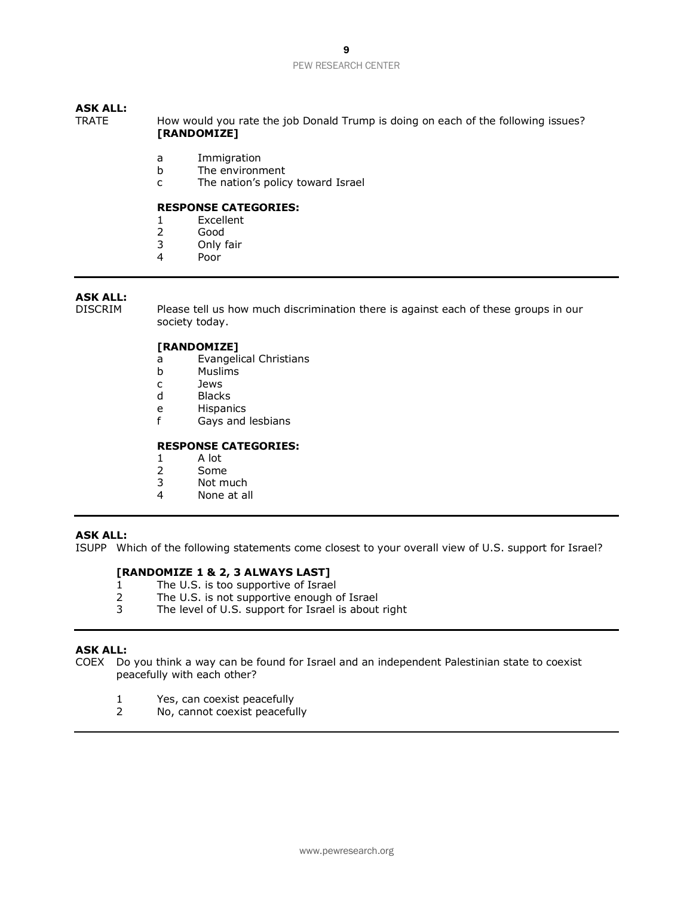# 9

#### PEW RESEARCH CENTER

# **ASK ALL:**

TRATE How would you rate the job Donald Trump is doing on each of the following issues? **[RANDOMIZE]**

- a Immigration
- b The environment
- c The nation's policy toward Israel

# **RESPONSE CATEGORIES:**

- 1 Excellent
- 2 Good
- 3 Only fair
- 4 Poor

#### **ASK ALL:**

DISCRIM Please tell us how much discrimination there is against each of these groups in our society today.

# **[RANDOMIZE]**

- a Evangelical Christians
- b Muslims
- c Jews
- d Blacks
- e Hispanics
- f Gays and lesbians

# **RESPONSE CATEGORIES:**

- 1 A lot
- 2 Some
- 3 Not much
- 4 None at all

# **ASK ALL:**

ISUPP Which of the following statements come closest to your overall view of U.S. support for Israel?

# **[RANDOMIZE 1 & 2, 3 ALWAYS LAST]**

- 1 The U.S. is too supportive of Israel<br>2 The U.S. is not supportive enough of
- The U.S. is not supportive enough of Israel
- 3 The level of U.S. support for Israel is about right

# **ASK ALL:**

- COEX Do you think a way can be found for Israel and an independent Palestinian state to coexist peacefully with each other?
	- 1 Yes, can coexist peacefully<br>2 No, cannot coexist peaceful
	- No, cannot coexist peacefully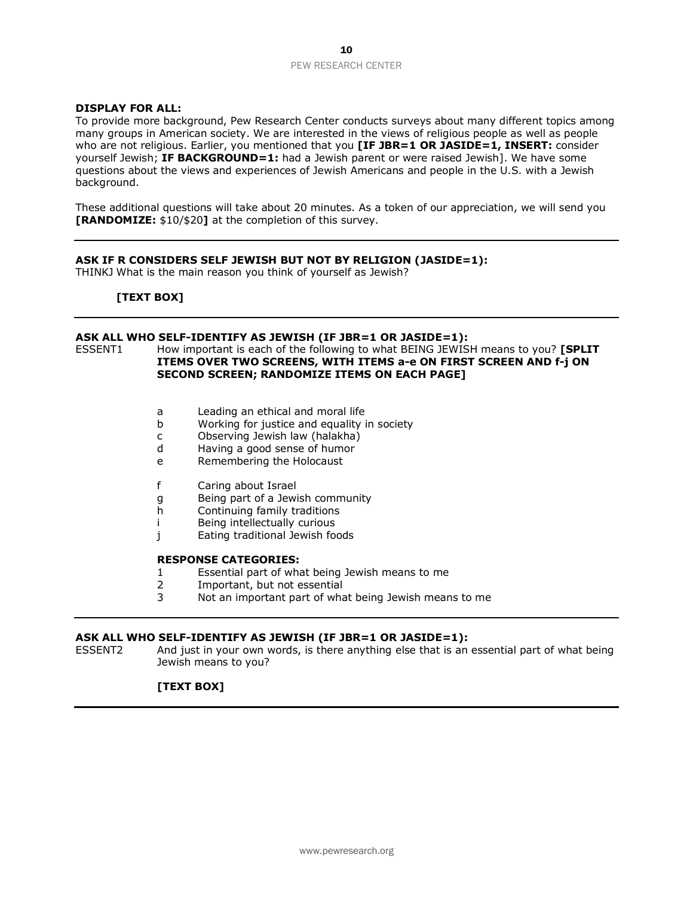### **DISPLAY FOR ALL:**

To provide more background, Pew Research Center conducts surveys about many different topics among many groups in American society. We are interested in the views of religious people as well as people who are not religious. Earlier, you mentioned that you **[IF JBR=1 OR JASIDE=1, INSERT:** consider yourself Jewish; **IF BACKGROUND=1:** had a Jewish parent or were raised Jewish]. We have some questions about the views and experiences of Jewish Americans and people in the U.S. with a Jewish background.

These additional questions will take about 20 minutes. As a token of our appreciation, we will send you **[RANDOMIZE:** \$10/\$20**]** at the completion of this survey.

#### **ASK IF R CONSIDERS SELF JEWISH BUT NOT BY RELIGION (JASIDE=1):**

THINKJ What is the main reason you think of yourself as Jewish?

**[TEXT BOX]**

#### **ASK ALL WHO SELF-IDENTIFY AS JEWISH (IF JBR=1 OR JASIDE=1):**

ESSENT1 How important is each of the following to what BEING JEWISH means to you? **[SPLIT ITEMS OVER TWO SCREENS, WITH ITEMS a-e ON FIRST SCREEN AND f-j ON SECOND SCREEN; RANDOMIZE ITEMS ON EACH PAGE]**

- a Leading an ethical and moral life
- b Working for justice and equality in society
- c Observing Jewish law (halakha)
- d Having a good sense of humor
- e Remembering the Holocaust
- f Caring about Israel
- g Being part of a Jewish community
- h Continuing family traditions
- i Being intellectually curious
- j Eating traditional Jewish foods

#### **RESPONSE CATEGORIES:**

- 1 Essential part of what being Jewish means to me
- 2 Important, but not essential
- 3 Not an important part of what being Jewish means to me

#### **ASK ALL WHO SELF-IDENTIFY AS JEWISH (IF JBR=1 OR JASIDE=1):**

ESSENT2 And just in your own words, is there anything else that is an essential part of what being Jewish means to you?

# **[TEXT BOX]**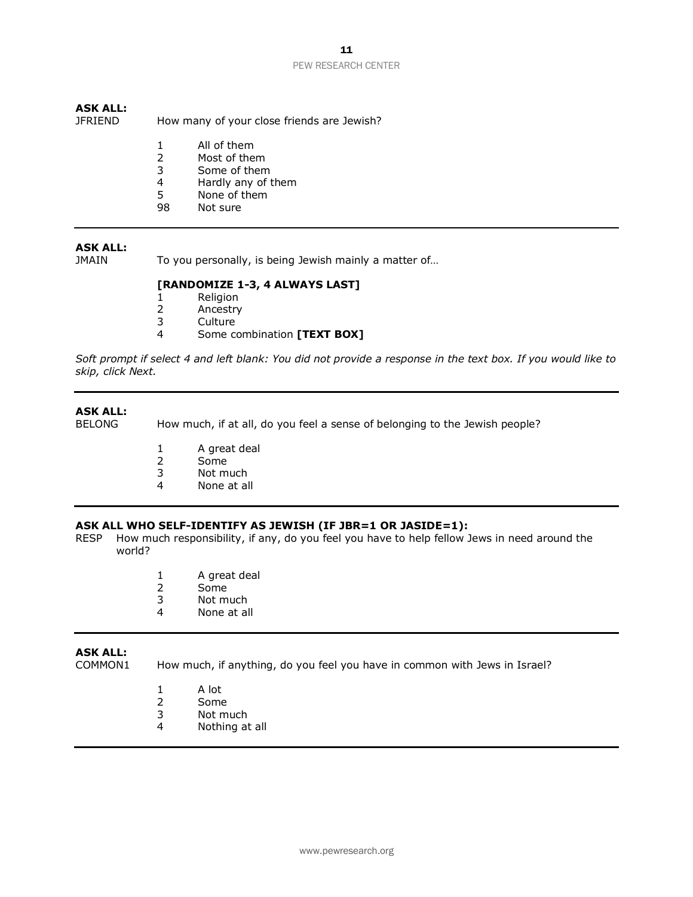# **ASK ALL:**

JFRIEND How many of your close friends are Jewish?

- 1 All of them
- 2 Most of them
- 3 Some of them
- 4 Hardly any of them
- 5 None of them
- 98 Not sure

# **ASK ALL:**

JMAIN To you personally, is being Jewish mainly a matter of...

# **[RANDOMIZE 1-3, 4 ALWAYS LAST]**

- 1 Religion
- 2 Ancestry
- 3 Culture
- 4 Some combination **[TEXT BOX]**

*Soft prompt if select 4 and left blank: You did not provide a response in the text box. If you would like to skip, click Next.*

# **ASK ALL:**

BELONG How much, if at all, do you feel a sense of belonging to the Jewish people?

- 1 A great deal
- 2 Some<br>3 Not m
- 3 Not much<br>4 None at al
- None at all

# **ASK ALL WHO SELF-IDENTIFY AS JEWISH (IF JBR=1 OR JASIDE=1):**

- RESP How much responsibility, if any, do you feel you have to help fellow Jews in need around the world?
	- 1 A great deal
	- 2 Some
	- 3 Not much
	- 4 None at all

# **ASK ALL:**

COMMON1 How much, if anything, do you feel you have in common with Jews in Israel?

- 1 A lot
- 2 Some
- 3 Not much
- 4 Nothing at all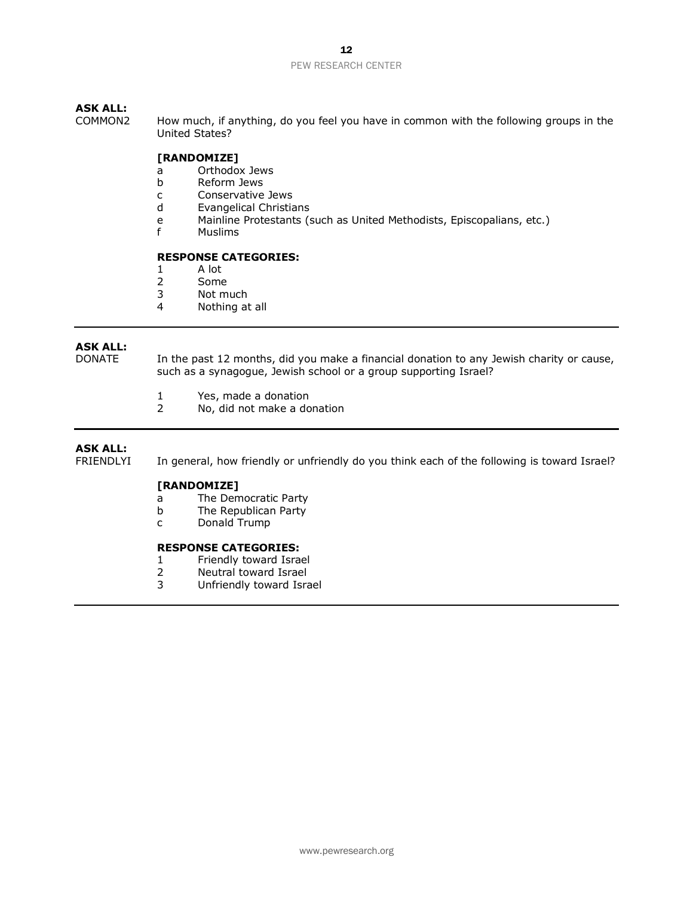# **ASK ALL:**

How much, if anything, do you feel you have in common with the following groups in the United States?

# **[RANDOMIZE]**

- a Orthodox Jews
- b Reform Jews
- c Conservative Jews
- d Evangelical Christians
- e Mainline Protestants (such as United Methodists, Episcopalians, etc.)
- f Muslims

# **RESPONSE CATEGORIES:**

- 1 A lot
- 2 Some
- 3 Not much
- 4 Nothing at all

#### **ASK ALL:**

DONATE In the past 12 months, did you make a financial donation to any Jewish charity or cause, such as a synagogue, Jewish school or a group supporting Israel?

- 1 Yes, made a donation
- 2 No, did not make a donation

# **ASK ALL:**

FRIENDLYI In general, how friendly or unfriendly do you think each of the following is toward Israel?

# **[RANDOMIZE]**

- a The Democratic Party
- b The Republican Party
- c Donald Trump

#### **RESPONSE CATEGORIES:**

- 1 Friendly toward Israel
- 2 Neutral toward Israel
- 3 Unfriendly toward Israel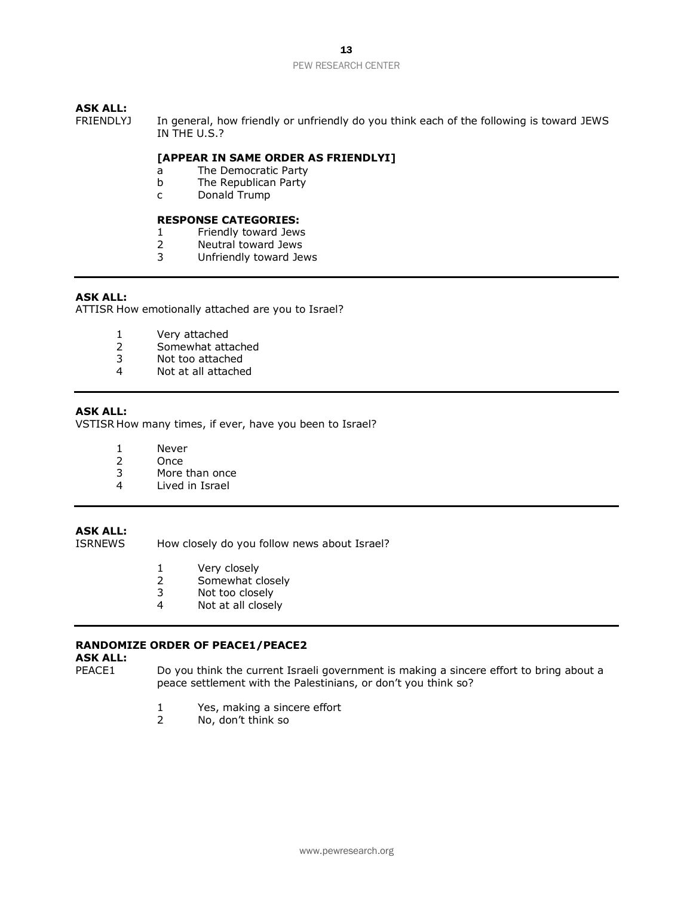# **ASK ALL:**

FRIENDLYJ In general, how friendly or unfriendly do you think each of the following is toward JEWS IN THE U.S.?

# **[APPEAR IN SAME ORDER AS FRIENDLYI]**

- a The Democratic Party
- b The Republican Party
- c Donald Trump

# **RESPONSE CATEGORIES:**

- 1 Friendly toward Jews
- 2 Neutral toward Jews
- 3 Unfriendly toward Jews

# **ASK ALL:**

ATTISR How emotionally attached are you to Israel?

- 1 Very attached
- 2 Somewhat attached
- 3 Not too attached
- 4 Not at all attached

# **ASK ALL:**

VSTISR How many times, if ever, have you been to Israel?

- 1 Never
- 2 Once
- 3 More than once
- 4 Lived in Israel

# **ASK ALL:**

How closely do you follow news about Israel?

- 1 Very closely
- 2 Somewhat closely
- 3 Not too closely<br>4 Not at all closel
- Not at all closely

### **RANDOMIZE ORDER OF PEACE1/PEACE2**

#### **ASK ALL:**

- PEACE1 Do you think the current Israeli government is making a sincere effort to bring about a peace settlement with the Palestinians, or don't you think so?
	- 1 Yes, making a sincere effort
	- 2 No, don't think so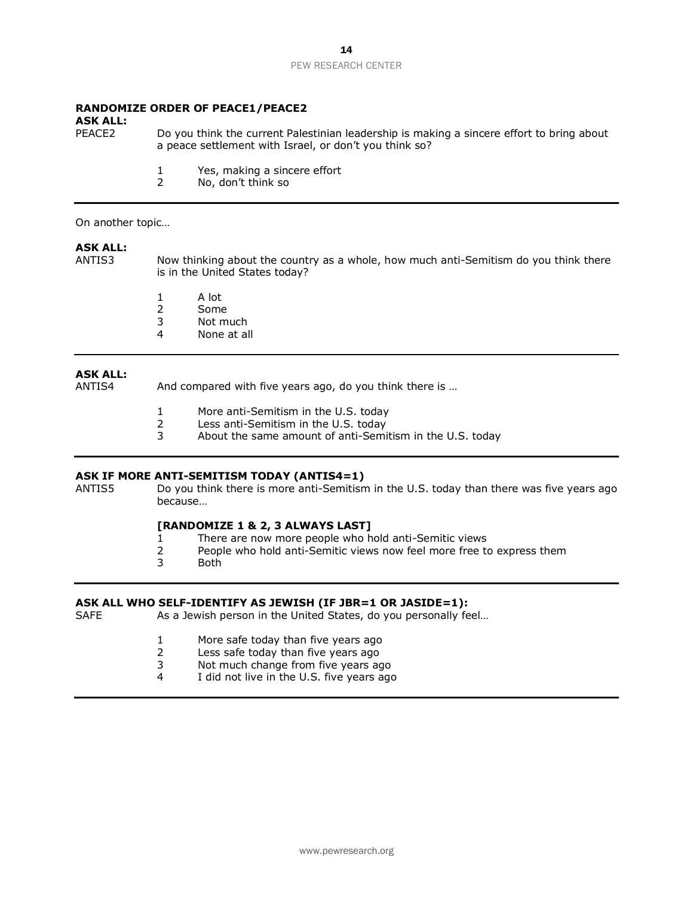# **RANDOMIZE ORDER OF PEACE1/PEACE2**

**ASK ALL:** Do you think the current Palestinian leadership is making a sincere effort to bring about a peace settlement with Israel, or don't you think so?

- 1 Yes, making a sincere effort
- 2 No, don't think so

On another topic…

#### **ASK ALL:**

ANTIS3 Now thinking about the country as a whole, how much anti-Semitism do you think there is in the United States today?

- 1 A lot
- 2 Some
- 3 Not much
- 4 None at all

# **ASK ALL:**

And compared with five years ago, do you think there is ...

- 1 More anti-Semitism in the U.S. today
- 2 Less anti-Semitism in the U.S. today
- 3 About the same amount of anti-Semitism in the U.S. today

### **ASK IF MORE ANTI-SEMITISM TODAY (ANTIS4=1)**

ANTIS5 Do you think there is more anti-Semitism in the U.S. today than there was five years ago because…

# **[RANDOMIZE 1 & 2, 3 ALWAYS LAST]**

- 1 There are now more people who hold anti-Semitic views
- 2 People who hold anti-Semitic views now feel more free to express them
- 3 Both

### **ASK ALL WHO SELF-IDENTIFY AS JEWISH (IF JBR=1 OR JASIDE=1):**

- SAFE As a Jewish person in the United States, do you personally feel...
	- 1 More safe today than five years ago
	- 2 Less safe today than five years ago
	- 3 Not much change from five years ago
	- 4 I did not live in the U.S. five years ago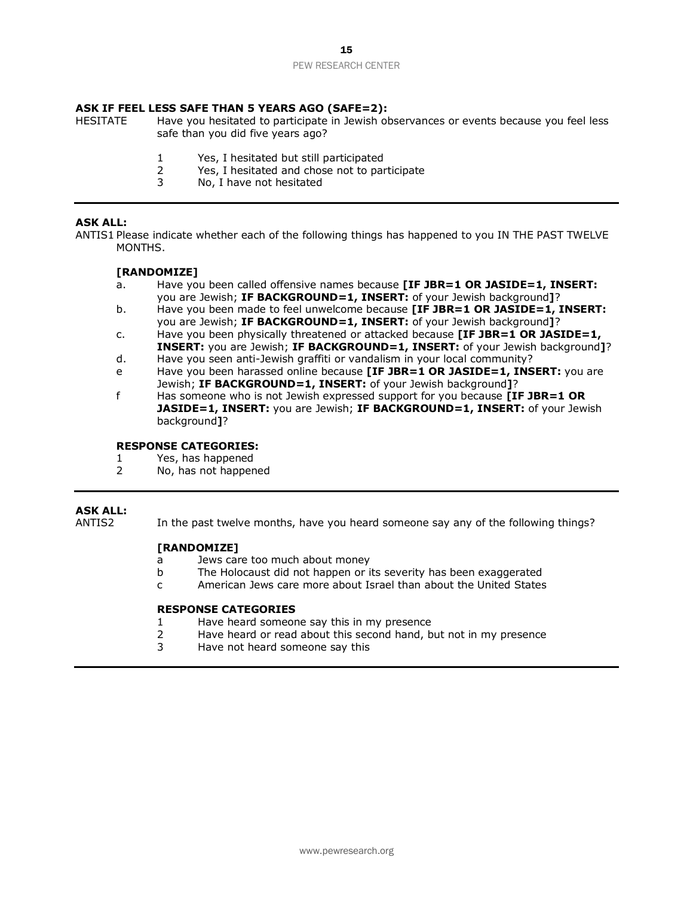# **ASK IF FEEL LESS SAFE THAN 5 YEARS AGO (SAFE=2):**

- HESITATE Have you hesitated to participate in Jewish observances or events because you feel less safe than you did five years ago?
	- 1 Yes, I hesitated but still participated
	- 2 Yes, I hesitated and chose not to participate
	- 3 No, I have not hesitated

#### **ASK ALL:**

ANTIS1 Please indicate whether each of the following things has happened to you IN THE PAST TWELVE MONTHS.

#### **[RANDOMIZE]**

- a. Have you been called offensive names because **[IF JBR=1 OR JASIDE=1, INSERT:** you are Jewish; **IF BACKGROUND=1, INSERT:** of your Jewish background**]**?
- b. Have you been made to feel unwelcome because **[IF JBR=1 OR JASIDE=1, INSERT:**  you are Jewish; **IF BACKGROUND=1, INSERT:** of your Jewish background**]**?
- c. Have you been physically threatened or attacked because **[IF JBR=1 OR JASIDE=1, INSERT:** you are Jewish; **IF BACKGROUND=1, INSERT:** of your Jewish background**]**?
- d. Have you seen anti-Jewish graffiti or vandalism in your local community?
- e Have you been harassed online because **[IF JBR=1 OR JASIDE=1, INSERT:** you are Jewish; **IF BACKGROUND=1, INSERT:** of your Jewish background**]**?
- f Has someone who is not Jewish expressed support for you because **[IF JBR=1 OR JASIDE=1, INSERT:** you are Jewish; **IF BACKGROUND=1, INSERT:** of your Jewish background**]**?

#### **RESPONSE CATEGORIES:**

- 1 Yes, has happened
- 2 No, has not happened

#### **ASK ALL:**

ANTIS2 In the past twelve months, have you heard someone say any of the following things?

# **[RANDOMIZE]**

- a Jews care too much about money
- b The Holocaust did not happen or its severity has been exaggerated
- c American Jews care more about Israel than about the United States

# **RESPONSE CATEGORIES**

- 1 Have heard someone say this in my presence
- 2 Have heard or read about this second hand, but not in my presence
- 3 Have not heard someone say this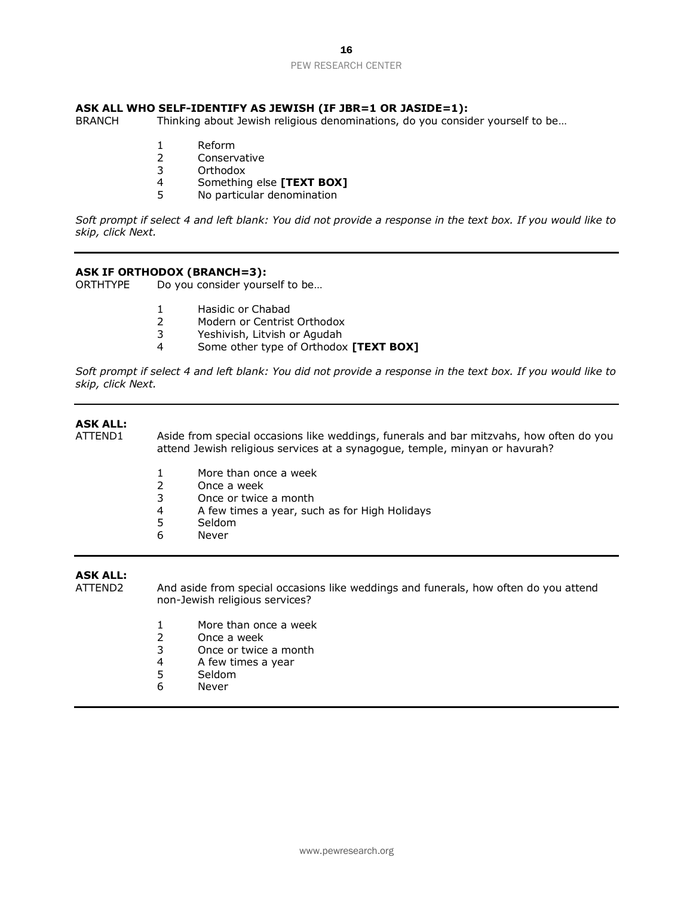# **ASK ALL WHO SELF-IDENTIFY AS JEWISH (IF JBR=1 OR JASIDE=1):**

BRANCH Thinking about Jewish religious denominations, do you consider yourself to be...

- 1 Reform
- 2 Conservative
- 3 Orthodox
- 4 Something else **[TEXT BOX]**
- 5 No particular denomination

*Soft prompt if select 4 and left blank: You did not provide a response in the text box. If you would like to skip, click Next.*

#### **ASK IF ORTHODOX (BRANCH=3):**

ORTHTYPE Do you consider yourself to be…

- 1 Hasidic or Chabad
- 2 Modern or Centrist Orthodox
- 3 Yeshivish, Litvish or Agudah
- 4 Some other type of Orthodox **[TEXT BOX]**

*Soft prompt if select 4 and left blank: You did not provide a response in the text box. If you would like to skip, click Next.*

# **ASK ALL:**

ATTEND1 Aside from special occasions like weddings, funerals and bar mitzvahs, how often do you attend Jewish religious services at a synagogue, temple, minyan or havurah?

- 1 More than once a week
- 2 Once a week
- 3 Once or twice a month
- 4 A few times a year, such as for High Holidays
- 5 Seldom
- 6 Never

# **ASK ALL:**

ATTEND2 And aside from special occasions like weddings and funerals, how often do you attend non-Jewish religious services?

- 1 More than once a week
- 2 Once a week
- 3 Once or twice a month
- 4 A few times a year
- 5 Seldom
- 6 Never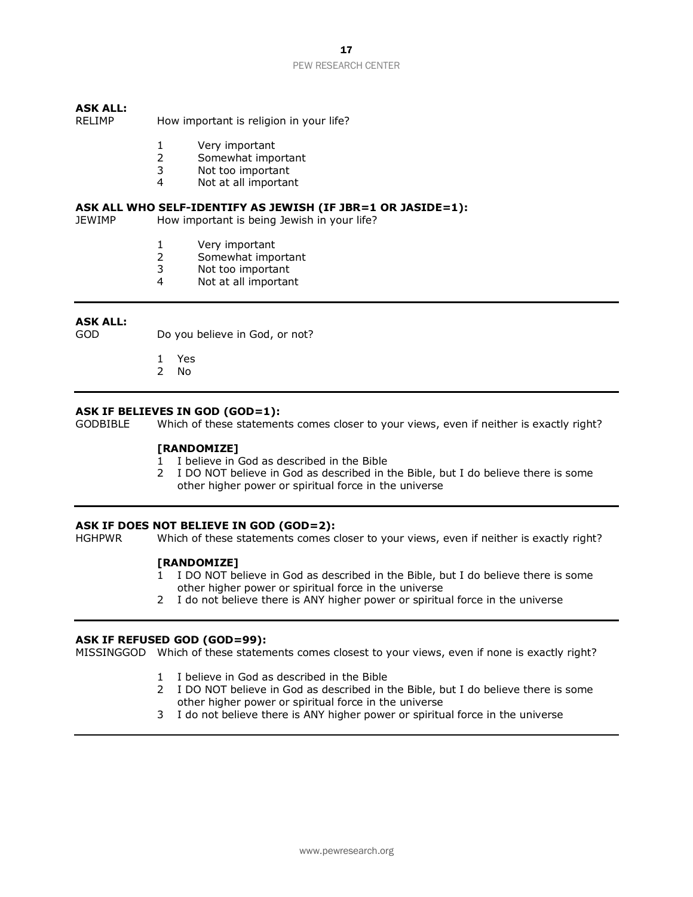# **ASK ALL:**

RELIMP How important is religion in your life?

- 1 Very important
- 2 Somewhat important
- 3 Not too important
- 4 Not at all important

#### **ASK ALL WHO SELF-IDENTIFY AS JEWISH (IF JBR=1 OR JASIDE=1):**

JEWIMP How important is being Jewish in your life?

- 1 Very important
- 2 Somewhat important
- 3 Not too important
- 4 Not at all important

# **ASK ALL:**

GOD Do you believe in God, or not?

- 1 Yes
- 2 No

#### **ASK IF BELIEVES IN GOD (GOD=1):**

GODBIBLE Which of these statements comes closer to your views, even if neither is exactly right?

# **[RANDOMIZE]**

- 1 I believe in God as described in the Bible
- 2 I DO NOT believe in God as described in the Bible, but I do believe there is some other higher power or spiritual force in the universe

#### **ASK IF DOES NOT BELIEVE IN GOD (GOD=2):**

HGHPWR Which of these statements comes closer to your views, even if neither is exactly right?

## **[RANDOMIZE]**

- 1 I DO NOT believe in God as described in the Bible, but I do believe there is some other higher power or spiritual force in the universe
- 2 I do not believe there is ANY higher power or spiritual force in the universe

#### **ASK IF REFUSED GOD (GOD=99):**

MISSINGGOD Which of these statements comes closest to your views, even if none is exactly right?

- 1 I believe in God as described in the Bible
- 2 I DO NOT believe in God as described in the Bible, but I do believe there is some other higher power or spiritual force in the universe
- 3 I do not believe there is ANY higher power or spiritual force in the universe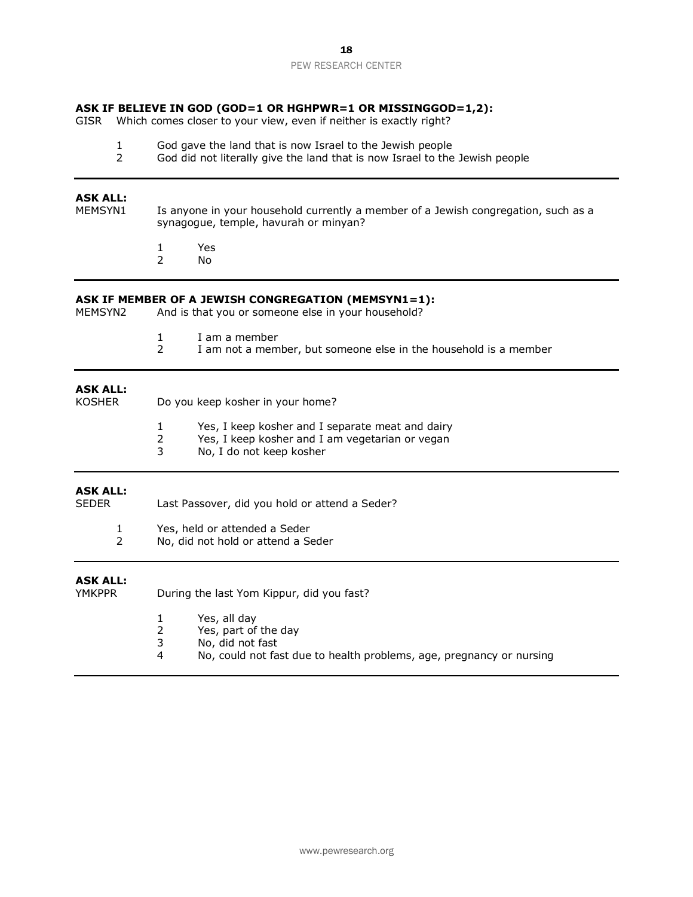# **ASK IF BELIEVE IN GOD (GOD=1 OR HGHPWR=1 OR MISSINGGOD=1,2):**

GISR Which comes closer to your view, even if neither is exactly right?

- 1 God gave the land that is now Israel to the Jewish people<br>2 God did not literally give the land that is now Israel to the
- 2 God did not literally give the land that is now Israel to the Jewish people

#### **ASK ALL:**

MEMSYN1 Is anyone in your household currently a member of a Jewish congregation, such as a synagogue, temple, havurah or minyan?

- 1 Yes
- 2 No

# **ASK IF MEMBER OF A JEWISH CONGREGATION (MEMSYN1=1):**

MEMSYN2 And is that you or someone else in your household?

- 1 I am a member
- 2 I am not a member, but someone else in the household is a member

# **ASK ALL:**

| ACV ALL. |                                  |                                                                                                                                 |  |  |  |
|----------|----------------------------------|---------------------------------------------------------------------------------------------------------------------------------|--|--|--|
|          | 2<br>3                           | Yes, I keep kosher and I separate meat and dairy<br>Yes, I keep kosher and I am vegetarian or vegan<br>No, I do not keep kosher |  |  |  |
| KOSHER   | Do you keep kosher in your home? |                                                                                                                                 |  |  |  |

#### **ASK ALL:**

SEDER Last Passover, did you hold or attend a Seder?

1 Yes, held or attended a Seder

2 No, did not hold or attend a Seder

# **ASK ALL:**

During the last Yom Kippur, did you fast?

- 1 Yes, all day
- 2 Yes, part of the day
- 3 No, did not fast
- 4 No, could not fast due to health problems, age, pregnancy or nursing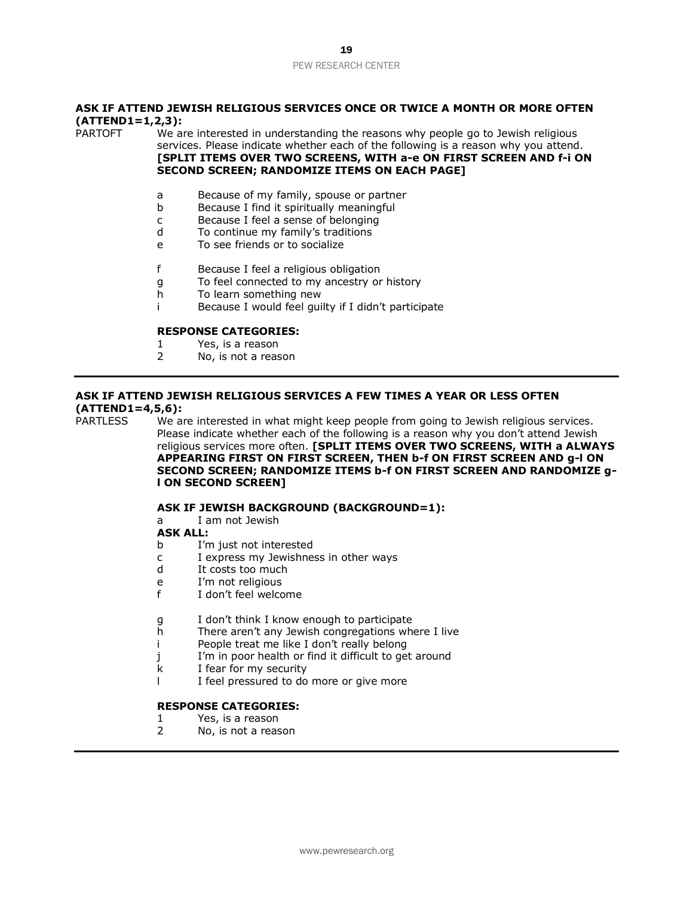# **ASK IF ATTEND JEWISH RELIGIOUS SERVICES ONCE OR TWICE A MONTH OR MORE OFTEN (ATTEND1=1,2,3):**

We are interested in understanding the reasons why people go to Jewish religious services. Please indicate whether each of the following is a reason why you attend. **[SPLIT ITEMS OVER TWO SCREENS, WITH a-e ON FIRST SCREEN AND f-i ON SECOND SCREEN; RANDOMIZE ITEMS ON EACH PAGE]**

- a Because of my family, spouse or partner
- b Because I find it spiritually meaningful
- c Because I feel a sense of belonging
- d To continue my family's traditions
- e To see friends or to socialize
- f Because I feel a religious obligation
- g To feel connected to my ancestry or history
- h To learn something new
- i Because I would feel guilty if I didn't participate

# **RESPONSE CATEGORIES:**

- 1 Yes, is a reason
- 2 No, is not a reason

### **ASK IF ATTEND JEWISH RELIGIOUS SERVICES A FEW TIMES A YEAR OR LESS OFTEN (ATTEND1=4,5,6):**

PARTLESS We are interested in what might keep people from going to Jewish religious services. Please indicate whether each of the following is a reason why you don't attend Jewish religious services more often. **[SPLIT ITEMS OVER TWO SCREENS, WITH a ALWAYS APPEARING FIRST ON FIRST SCREEN, THEN b-f ON FIRST SCREEN AND g-l ON SECOND SCREEN; RANDOMIZE ITEMS b-f ON FIRST SCREEN AND RANDOMIZE gl ON SECOND SCREEN]**

# **ASK IF JEWISH BACKGROUND (BACKGROUND=1):**

# a I am not Jewish

# **ASK ALL:**

- b I'm just not interested
- c I express my Jewishness in other ways
- d It costs too much
- e I'm not religious
- f I don't feel welcome
- g I don't think I know enough to participate
- h There aren't any Jewish congregations where I live
- i People treat me like I don't really belong
- j I'm in poor health or find it difficult to get around
- k I fear for my security
- l I feel pressured to do more or give more

# **RESPONSE CATEGORIES:**

- 1 Yes, is a reason
- 2 No, is not a reason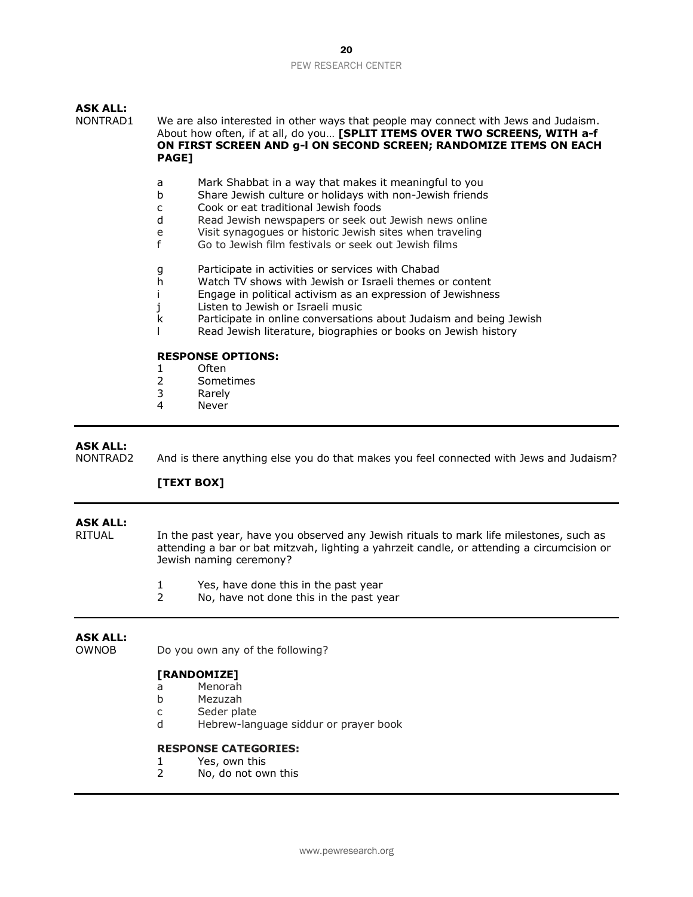# **ASK ALL:**

NONTRAD1 We are also interested in other ways that people may connect with Jews and Judaism. About how often, if at all, do you… **[SPLIT ITEMS OVER TWO SCREENS, WITH a-f ON FIRST SCREEN AND g-l ON SECOND SCREEN; RANDOMIZE ITEMS ON EACH PAGE]**

- a Mark Shabbat in a way that makes it meaningful to you
- b Share Jewish culture or holidays with non-Jewish friends
- c Cook or eat traditional Jewish foods
- d Read Jewish newspapers or seek out Jewish news online
- e Visit synagogues or historic Jewish sites when traveling
- f Go to Jewish film festivals or seek out Jewish films
- g Participate in activities or services with Chabad
- h Watch TV shows with Jewish or Israeli themes or content
- i Engage in political activism as an expression of Jewishness
- j Listen to Jewish or Israeli music
- k Participate in online conversations about Judaism and being Jewish
- l Read Jewish literature, biographies or books on Jewish history

# **RESPONSE OPTIONS:**

- 1 Often
- 2 Sometimes
- 3 Rarely
- 4 Never

# **ASK ALL:**

NONTRAD2 And is there anything else you do that makes you feel connected with Jews and Judaism?

# **[TEXT BOX]**

# **ASK ALL:**

RITUAL In the past year, have you observed any Jewish rituals to mark life milestones, such as attending a bar or bat mitzvah, lighting a yahrzeit candle, or attending a circumcision or Jewish naming ceremony?

- 1 Yes, have done this in the past year
- 2 No, have not done this in the past year

# **ASK ALL:**

OWNOB Do you own any of the following?

# **[RANDOMIZE]**

- a Menorah
- b Mezuzah
- c Seder plate
- d Hebrew-language siddur or prayer book

# **RESPONSE CATEGORIES:**

- 1 Yes, own this
- 2 No, do not own this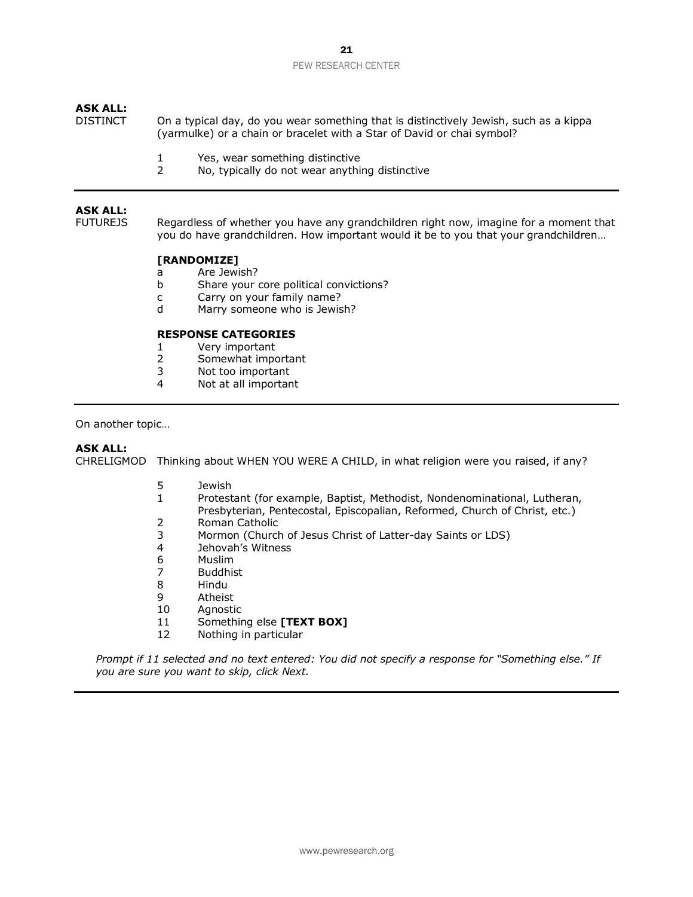# **ASK ALL:**

DISTINCT On a typical day, do you wear something that is distinctively Jewish, such as a kippa (yarmulke) or a chain or bracelet with a Star of David or chai symbol? 1 Yes, wear something distinctive

2 No, typically do not wear anything distinctive

# **ASK ALL:**

FUTUREJS Regardless of whether you have any grandchildren right now, imagine for a moment that you do have grandchildren. How important would it be to you that your grandchildren…

#### **[RANDOMIZE]**

- a Are Jewish?
- b Share your core political convictions?
- c Carry on your family name?
- d Marry someone who is Jewish?

#### **RESPONSE CATEGORIES**

- 1 Very important
- 2 Somewhat important
- 3 Not too important
- 4 Not at all important

On another topic…

# **ASK ALL:**

CHRELIGMOD Thinking about WHEN YOU WERE A CHILD, in what religion were you raised, if any?

- 5 Jewish
- 1 Protestant (for example, Baptist, Methodist, Nondenominational, Lutheran, Presbyterian, Pentecostal, Episcopalian, Reformed, Church of Christ, etc.)
- 2 Roman Catholic
- 3 Mormon (Church of Jesus Christ of Latter-day Saints or LDS)
- 4 Jehovah's Witness
- 6 Muslim
- 7 Buddhist
- 8 Hindu
- 9 Atheist
- 10 Agnostic
- 11 Something else **[TEXT BOX]**
- 12 Nothing in particular

*Prompt if 11 selected and no text entered: You did not specify a response for "Something else." If you are sure you want to skip, click Next.*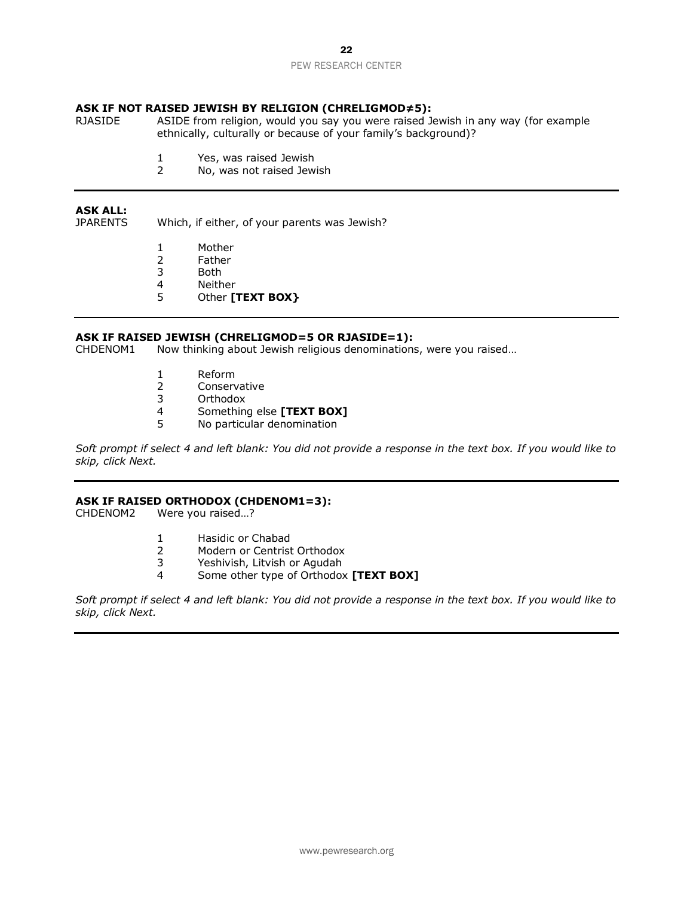# **ASK IF NOT RAISED JEWISH BY RELIGION (CHRELIGMOD≠5):**

RJASIDE ASIDE from religion, would you say you were raised Jewish in any way (for example ethnically, culturally or because of your family's background)?

- 1 Yes, was raised Jewish
- 2 No, was not raised Jewish

**ASK ALL:** Which, if either, of your parents was Jewish?

- 1 Mother
- 2 Father
- 3 Both
- 4 Neither
- 5 Other **[TEXT BOX}**

# **ASK IF RAISED JEWISH (CHRELIGMOD=5 OR RJASIDE=1):**

CHDENOM1 Now thinking about Jewish religious denominations, were you raised…

- 1 Reform
- 2 Conservative
- 3 Orthodox
- 4 Something else **[TEXT BOX]**
- 5 No particular denomination

*Soft prompt if select 4 and left blank: You did not provide a response in the text box. If you would like to skip, click Next.*

# **ASK IF RAISED ORTHODOX (CHDENOM1=3):**

CHDENOM2 Were you raised…?

- 1 Hasidic or Chabad
- 2 Modern or Centrist Orthodox
- 3 Yeshivish, Litvish or Agudah
- 4 Some other type of Orthodox **[TEXT BOX]**

*Soft prompt if select 4 and left blank: You did not provide a response in the text box. If you would like to skip, click Next.*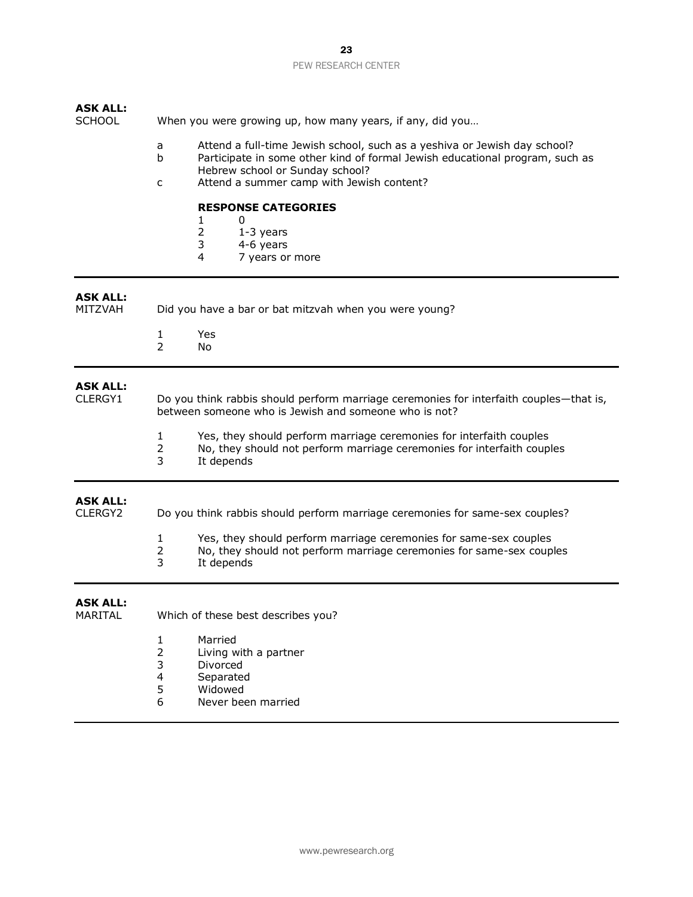# **ASK ALL:**

SCHOOL When you were growing up, how many years, if any, did you…

- a Attend a full-time Jewish school, such as a yeshiva or Jewish day school? b Participate in some other kind of formal Jewish educational program, such as
- Hebrew school or Sunday school?
- c Attend a summer camp with Jewish content?

# **RESPONSE CATEGORIES**

| $\mathbf{1}$ | n |   |  |  |
|--------------|---|---|--|--|
|              |   | ∽ |  |  |

- 2 1-3 years  $3<sub>4-6</sub> years$
- 4 7 years or more

# **ASK ALL:**

MITZVAH Did you have a bar or bat mitzvah when you were young?

- 1 Yes
- 2 No

# **ASK ALL:**<br>CLERGY1

Do you think rabbis should perform marriage ceremonies for interfaith couples—that is, between someone who is Jewish and someone who is not?

- 1 Yes, they should perform marriage ceremonies for interfaith couples
- 2 No, they should not perform marriage ceremonies for interfaith couples
- 3 It depends

# **ASK ALL:**

CLERGY2 Do you think rabbis should perform marriage ceremonies for same-sex couples?

- 1 Yes, they should perform marriage ceremonies for same-sex couples
- 2 No, they should not perform marriage ceremonies for same-sex couples
- 3 It depends

# **ASK ALL:**

MARITAL Which of these best describes you?

- 1 Married
- 2 Living with a partner
- 3 Divorced
- 4 Separated
- 5 Widowed
- 6 Never been married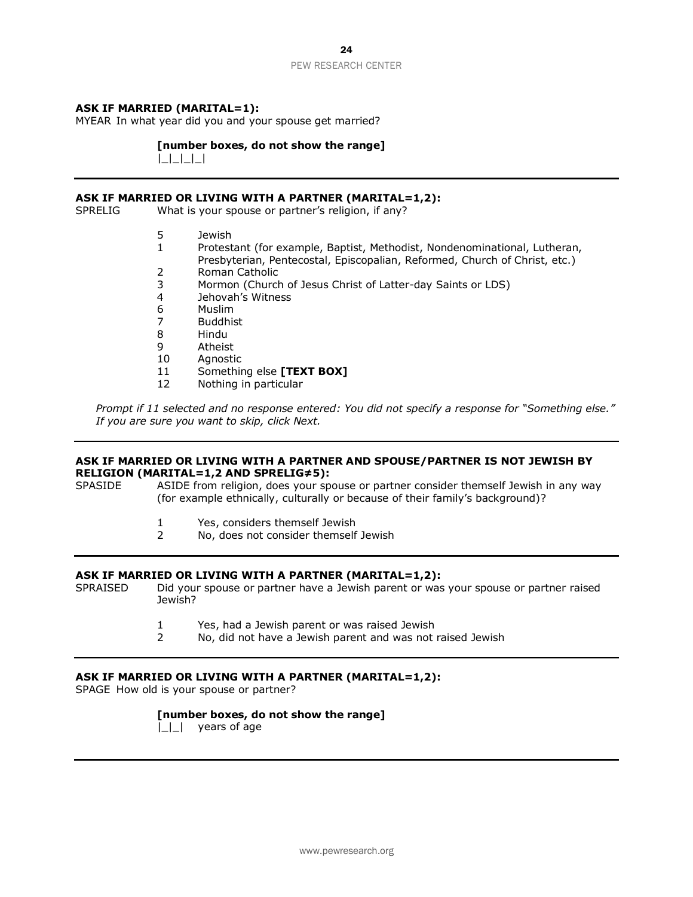# **ASK IF MARRIED (MARITAL=1):**

MYEAR In what year did you and your spouse get married?

# **[number boxes, do not show the range]**

|\_|\_|\_|\_|

## **ASK IF MARRIED OR LIVING WITH A PARTNER (MARITAL=1,2):**

SPRELIG What is your spouse or partner's religion, if any?

- 5 Jewish
- 1 Protestant (for example, Baptist, Methodist, Nondenominational, Lutheran,
- Presbyterian, Pentecostal, Episcopalian, Reformed, Church of Christ, etc.)
- 2 Roman Catholic
- 3 Mormon (Church of Jesus Christ of Latter-day Saints or LDS)
- 4 Jehovah's Witness
- 6 Muslim
- 7 Buddhist
- 8 Hindu
- 9 Atheist
- 10 Agnostic
- 11 Something else **[TEXT BOX]**
- 12 Nothing in particular

*Prompt if 11 selected and no response entered: You did not specify a response for "Something else." If you are sure you want to skip, click Next.*

# **ASK IF MARRIED OR LIVING WITH A PARTNER AND SPOUSE/PARTNER IS NOT JEWISH BY RELIGION (MARITAL=1,2 AND SPRELIG≠5):**

SPASIDE ASIDE from religion, does your spouse or partner consider themself Jewish in any way (for example ethnically, culturally or because of their family's background)?

- 1 Yes, considers themself Jewish
- 2 No, does not consider themself Jewish

#### **ASK IF MARRIED OR LIVING WITH A PARTNER (MARITAL=1,2):**

SPRAISED Did your spouse or partner have a Jewish parent or was your spouse or partner raised Jewish?

- 1 Yes, had a Jewish parent or was raised Jewish
- 2 No, did not have a Jewish parent and was not raised Jewish

#### **ASK IF MARRIED OR LIVING WITH A PARTNER (MARITAL=1,2):**

SPAGE How old is your spouse or partner?

#### **[number boxes, do not show the range]**

 $| \_|$  years of age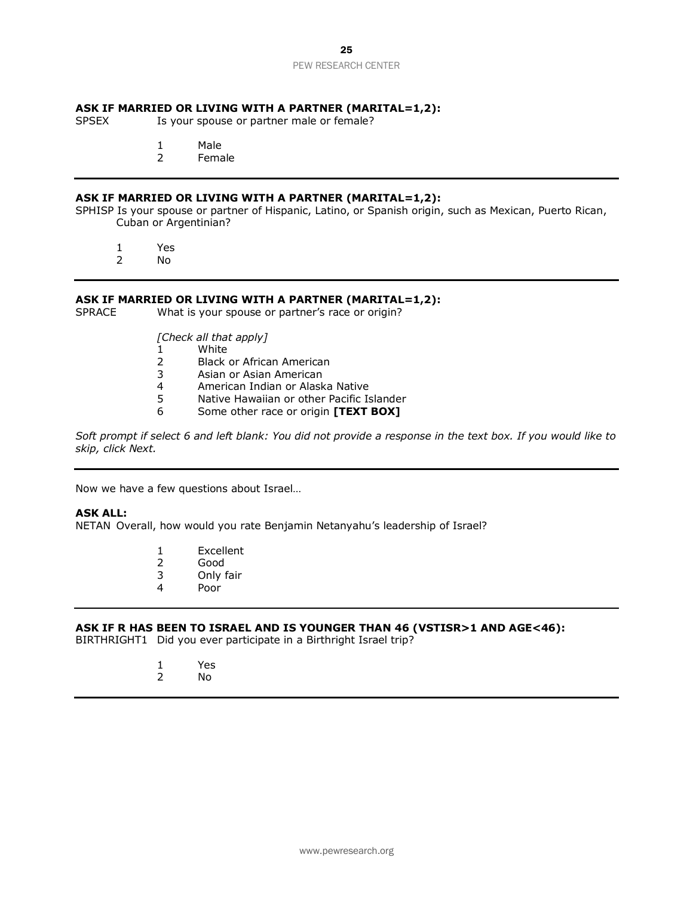# **ASK IF MARRIED OR LIVING WITH A PARTNER (MARITAL=1,2):**

- SPSEX Is your spouse or partner male or female?
	- 1 Male
	- 2 Female

#### **ASK IF MARRIED OR LIVING WITH A PARTNER (MARITAL=1,2):**

SPHISP Is your spouse or partner of Hispanic, Latino, or Spanish origin, such as Mexican, Puerto Rican, Cuban or Argentinian?

- 1 Yes
- 2 No

#### **ASK IF MARRIED OR LIVING WITH A PARTNER (MARITAL=1,2):**

SPRACE What is your spouse or partner's race or origin?

*[Check all that apply]*

- 1 White
- 2 Black or African American
- 3 Asian or Asian American
- 4 American Indian or Alaska Native
- 5 Native Hawaiian or other Pacific Islander
- 6 Some other race or origin **[TEXT BOX]**

*Soft prompt if select 6 and left blank: You did not provide a response in the text box. If you would like to skip, click Next.*

Now we have a few questions about Israel…

#### **ASK ALL:**

NETAN Overall, how would you rate Benjamin Netanyahu's leadership of Israel?

- 1 Excellent
- 2 Good
- 3 Only fair
- 4 Poor

# **ASK IF R HAS BEEN TO ISRAEL AND IS YOUNGER THAN 46 (VSTISR>1 AND AGE<46):**

BIRTHRIGHT1 Did you ever participate in a Birthright Israel trip?

- 1 Yes
- 2 No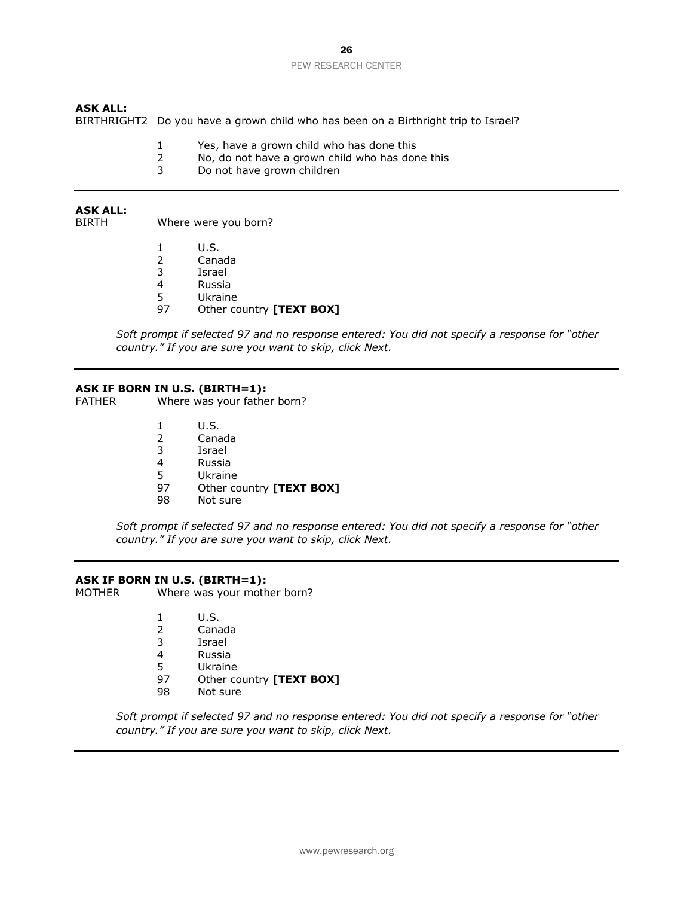# **ASK ALL:**

BIRTHRIGHT2 Do you have a grown child who has been on a Birthright trip to Israel?

- 1 Yes, have a grown child who has done this
- 2 No, do not have a grown child who has done this
- 3 Do not have grown children

#### **ASK ALL:**

BIRTH Where were you born?

- 1 U.S.
- 2 Canada
- 3 Israel
- 4 Russia
- 5 Ukraine
- 97 Other country **[TEXT BOX]**

*Soft prompt if selected 97 and no response entered: You did not specify a response for "other country." If you are sure you want to skip, click Next.*

#### **ASK IF BORN IN U.S. (BIRTH=1):**

FATHER Where was your father born?

- 1 U.S.
- 2 Canada
- 3 Israel
- 4 Russia 5 Ukraine
- 
- 97 Other country **[TEXT BOX]**
- 98 Not sure

*Soft prompt if selected 97 and no response entered: You did not specify a response for "other country." If you are sure you want to skip, click Next.*

#### **ASK IF BORN IN U.S. (BIRTH=1):**

MOTHER Where was your mother born?

- 1 U.S.<br>2 Cana
- **Canada**
- 3 Israel
- 4 Russia
- 5 Ukraine
- 97 Other country **[TEXT BOX]**
- 98 Not sure

*Soft prompt if selected 97 and no response entered: You did not specify a response for "other country." If you are sure you want to skip, click Next.*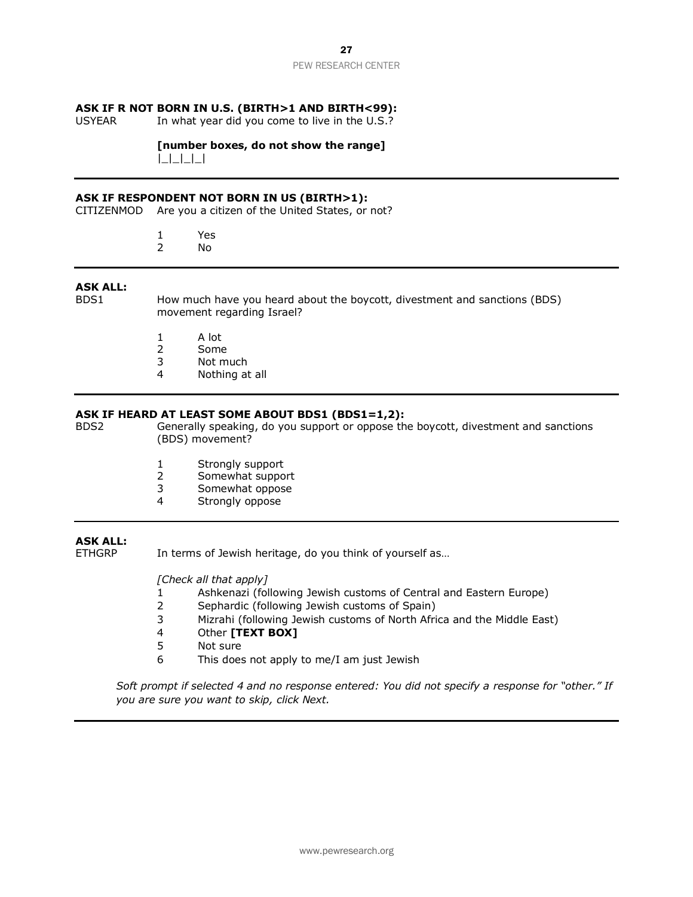# **ASK IF R NOT BORN IN U.S. (BIRTH>1 AND BIRTH<99):**

USYEAR In what year did you come to live in the U.S.?

# **[number boxes, do not show the range]**

|\_|\_|\_|\_|

#### **ASK IF RESPONDENT NOT BORN IN US (BIRTH>1):**

CITIZENMOD Are you a citizen of the United States, or not?

- 1 Yes
- 2 No

# **ASK ALL:**

BDS1 How much have you heard about the boycott, divestment and sanctions (BDS) movement regarding Israel?

- 1 A lot
- 2 Some
- 3 Not much
- 4 Nothing at all

### **ASK IF HEARD AT LEAST SOME ABOUT BDS1 (BDS1=1,2):**

BDS2 Generally speaking, do you support or oppose the boycott, divestment and sanctions (BDS) movement?

- 1 Strongly support
- 2 Somewhat support
- 3 Somewhat oppose
- 4 Strongly oppose

#### **ASK ALL:**

ETHGRP In terms of Jewish heritage, do you think of yourself as...

*[Check all that apply]*

- 1 Ashkenazi (following Jewish customs of Central and Eastern Europe)
- 2 Sephardic (following Jewish customs of Spain)
- 3 Mizrahi (following Jewish customs of North Africa and the Middle East)
- 4 Other **[TEXT BOX]**
- 5 Not sure
- 6 This does not apply to me/I am just Jewish

*Soft prompt if selected 4 and no response entered: You did not specify a response for "other." If you are sure you want to skip, click Next.*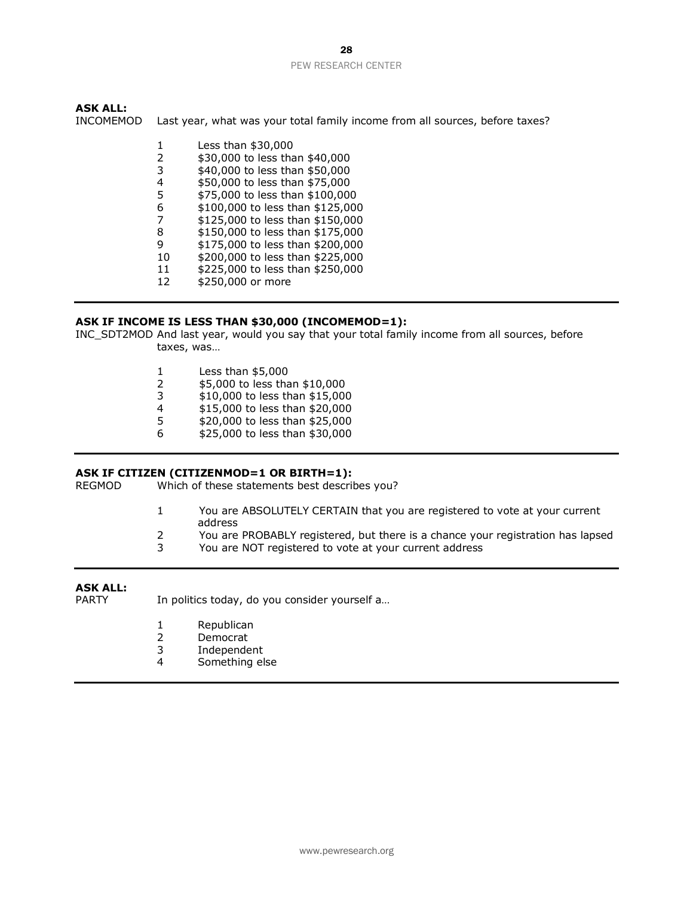# **ASK ALL:**

INCOMEMOD Last year, what was your total family income from all sources, before taxes?

1 Less than \$30,000<br>2 \$30,000 to less tha \$30,000 to less than \$40,000 \$40,000 to less than \$50,000 \$50,000 to less than \$75,000 \$75,000 to less than \$100,000 \$100,000 to less than \$125,000 \$125,000 to less than \$150,000 \$150,000 to less than \$175,000 \$175,000 to less than \$200,000 \$200,000 to less than \$225,000 \$225,000 to less than \$250,000 \$250,000 or more

# **ASK IF INCOME IS LESS THAN \$30,000 (INCOMEMOD=1):**

INC\_SDT2MOD And last year, would you say that your total family income from all sources, before taxes, was…

- 1 Less than \$5,000
- 2 \$5,000 to less than \$10,000
- 3 \$10,000 to less than \$15,000
- 4 \$15,000 to less than \$20,000
- 5 \$20,000 to less than \$25,000
- 6 \$25,000 to less than \$30,000

#### **ASK IF CITIZEN (CITIZENMOD=1 OR BIRTH=1):**

REGMOD Which of these statements best describes you?

- 1 You are ABSOLUTELY CERTAIN that you are registered to vote at your current address
- 2 You are PROBABLY registered, but there is a chance your registration has lapsed
- 3 You are NOT registered to vote at your current address

#### **ASK ALL:**

PARTY In politics today, do you consider yourself a...

- 1 Republican
- 2 Democrat
- 3 Independent
- 4 Something else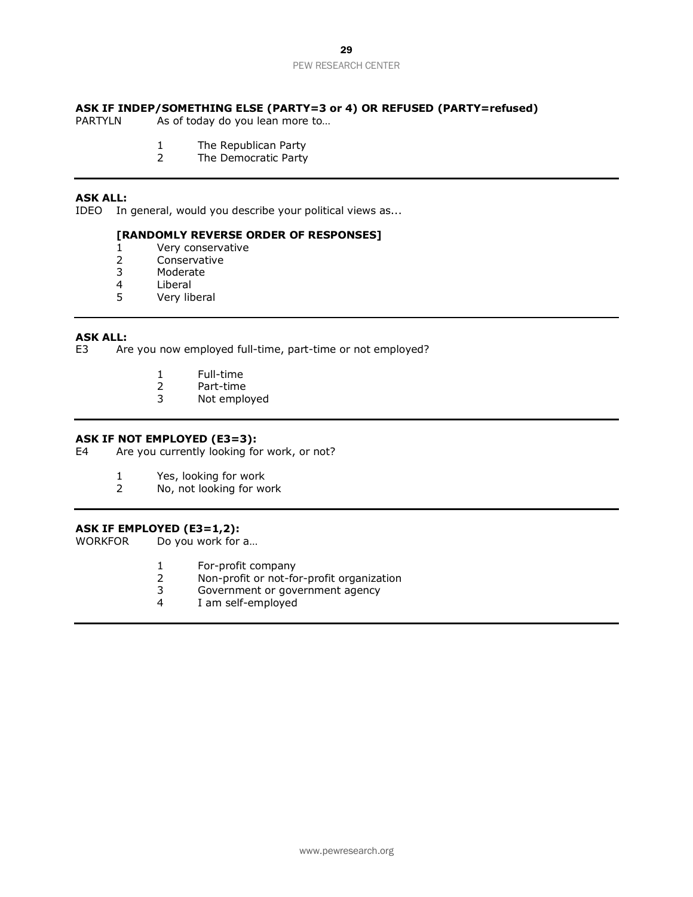# **ASK IF INDEP/SOMETHING ELSE (PARTY=3 or 4) OR REFUSED (PARTY=refused)**

PARTYLN As of today do you lean more to...

- 1 The Republican Party<br>2 The Democratic Party
- The Democratic Party

#### **ASK ALL:**

IDEO In general, would you describe your political views as...

#### **[RANDOMLY REVERSE ORDER OF RESPONSES]**

- 1 Very conservative
- 2 Conservative
- 3 Moderate
- 4 Liberal
- 5 Very liberal

# **ASK ALL:**

E3 Are you now employed full-time, part-time or not employed?

- 1 Full-time
- 2 Part-time<br>3 Not emplo
- Not employed

### **ASK IF NOT EMPLOYED (E3=3):**

E4 Are you currently looking for work, or not?

- 1 Yes, looking for work<br>2 No, not looking for wo
- No, not looking for work

#### **ASK IF EMPLOYED (E3=1,2):**

WORKFOR Do you work for a...

- 1 For-profit company
- 2 Non-profit or not-for-profit organization
- 3 Government or government agency
- 4 I am self-employed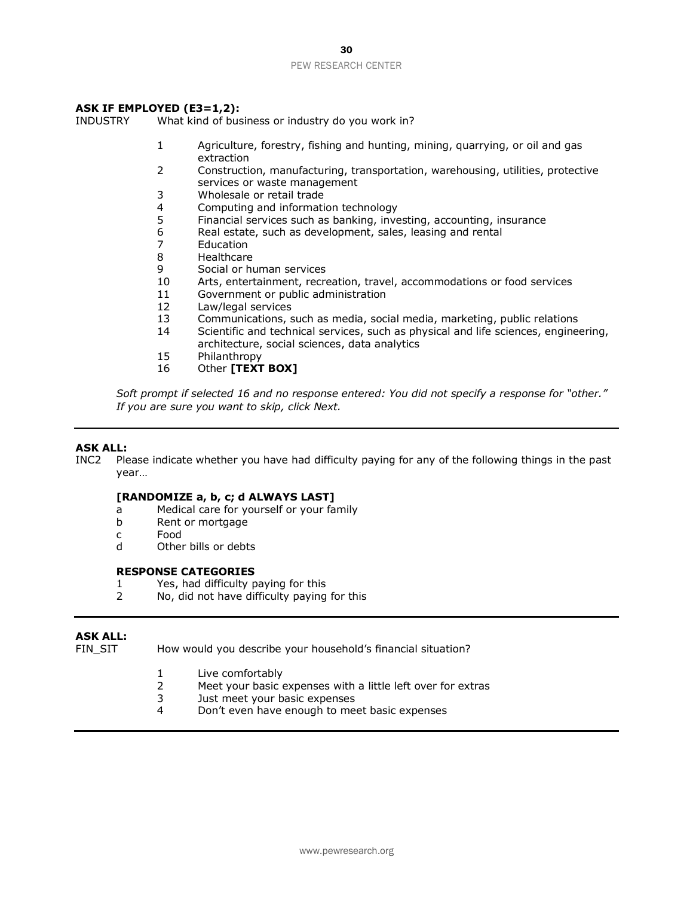# **ASK IF EMPLOYED (E3=1,2):**

INDUSTRY What kind of business or industry do you work in?

- 1 Agriculture, forestry, fishing and hunting, mining, quarrying, or oil and gas extraction
- 2 Construction, manufacturing, transportation, warehousing, utilities, protective services or waste management
- 3 Wholesale or retail trade
- 4 Computing and information technology
- 5 Financial services such as banking, investing, accounting, insurance
- 6 Real estate, such as development, sales, leasing and rental
- 7 Education
- 8 Healthcare
- 9 Social or human services
- 10 Arts, entertainment, recreation, travel, accommodations or food services
- 11 Government or public administration
- 12 Law/legal services
- 13 Communications, such as media, social media, marketing, public relations
- 14 Scientific and technical services, such as physical and life sciences, engineering, architecture, social sciences, data analytics
- 15 Philanthropy
- 16 Other **[TEXT BOX]**

*Soft prompt if selected 16 and no response entered: You did not specify a response for "other." If you are sure you want to skip, click Next.*

#### **ASK ALL:**

INC2 Please indicate whether you have had difficulty paying for any of the following things in the past year…

#### **[RANDOMIZE a, b, c; d ALWAYS LAST]**

- a Medical care for yourself or your family
- b Rent or mortgage
- c Food
- d Other bills or debts

#### **RESPONSE CATEGORIES**

- 1 Yes, had difficulty paying for this
- 2 No, did not have difficulty paying for this

#### **ASK ALL:**

FIN\_SIT How would you describe your household's financial situation?

- 1 Live comfortably
- 2 Meet your basic expenses with a little left over for extras
- 3 Just meet your basic expenses<br>4 Don't even have enough to mee
- Don't even have enough to meet basic expenses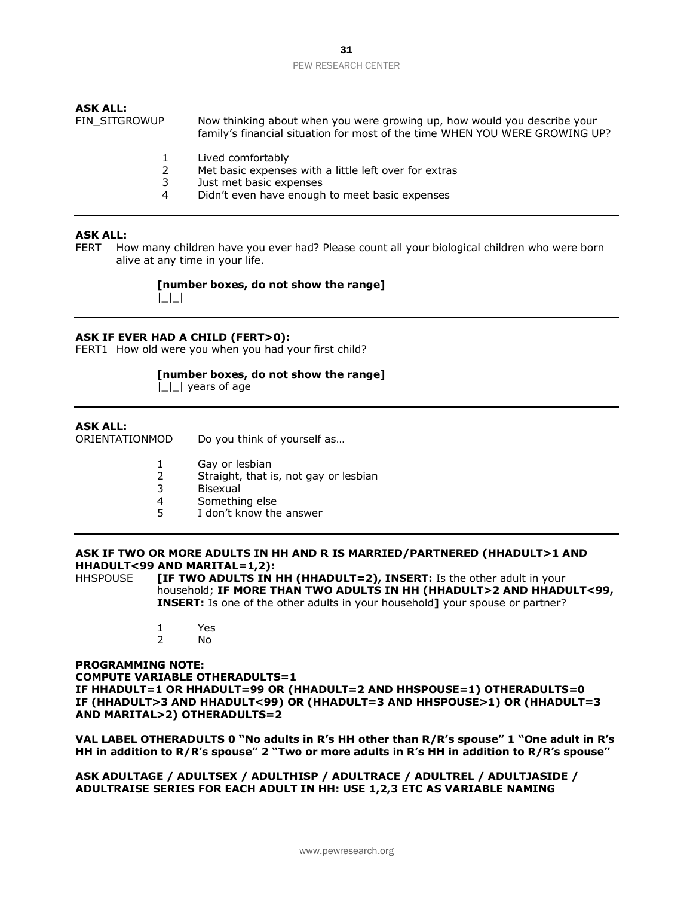# **ASK ALL:**

FIN\_SITGROWUP Now thinking about when you were growing up, how would you describe your family's financial situation for most of the time WHEN YOU WERE GROWING UP?

- 1 Lived comfortably
- 2 Met basic expenses with a little left over for extras
- 3 Just met basic expenses
- 4 Didn't even have enough to meet basic expenses

#### **ASK ALL:**

FERT How many children have you ever had? Please count all your biological children who were born alive at any time in your life.

**[number boxes, do not show the range]**

 $| \cdot | \cdot |$ 

# **ASK IF EVER HAD A CHILD (FERT>0):**

FERT1 How old were you when you had your first child?

# **[number boxes, do not show the range]**

 $|$   $|$   $|$  years of age

# **ASK ALL:**

ORIENTATIONMOD Do you think of yourself as...

- 1 Gay or lesbian
- 2 Straight, that is, not gay or lesbian
- 3 Bisexual
- 4 Something else
- 5 I don't know the answer

# **ASK IF TWO OR MORE ADULTS IN HH AND R IS MARRIED/PARTNERED (HHADULT>1 AND HHADULT<99 AND MARITAL=1,2):**

HHSPOUSE **[IF TWO ADULTS IN HH (HHADULT=2), INSERT:** Is the other adult in your household; **IF MORE THAN TWO ADULTS IN HH (HHADULT>2 AND HHADULT<99, INSERT:** Is one of the other adults in your household**]** your spouse or partner?

> 1 Yes 2 No

#### **PROGRAMMING NOTE:**

**COMPUTE VARIABLE OTHERADULTS=1**

**IF HHADULT=1 OR HHADULT=99 OR (HHADULT=2 AND HHSPOUSE=1) OTHERADULTS=0 IF (HHADULT>3 AND HHADULT<99) OR (HHADULT=3 AND HHSPOUSE>1) OR (HHADULT=3 AND MARITAL>2) OTHERADULTS=2**

**VAL LABEL OTHERADULTS 0 "No adults in R's HH other than R/R's spouse" 1 "One adult in R's HH in addition to R/R's spouse" 2 "Two or more adults in R's HH in addition to R/R's spouse"**

**ASK ADULTAGE / ADULTSEX / ADULTHISP / ADULTRACE / ADULTREL / ADULTJASIDE / ADULTRAISE SERIES FOR EACH ADULT IN HH: USE 1,2,3 ETC AS VARIABLE NAMING**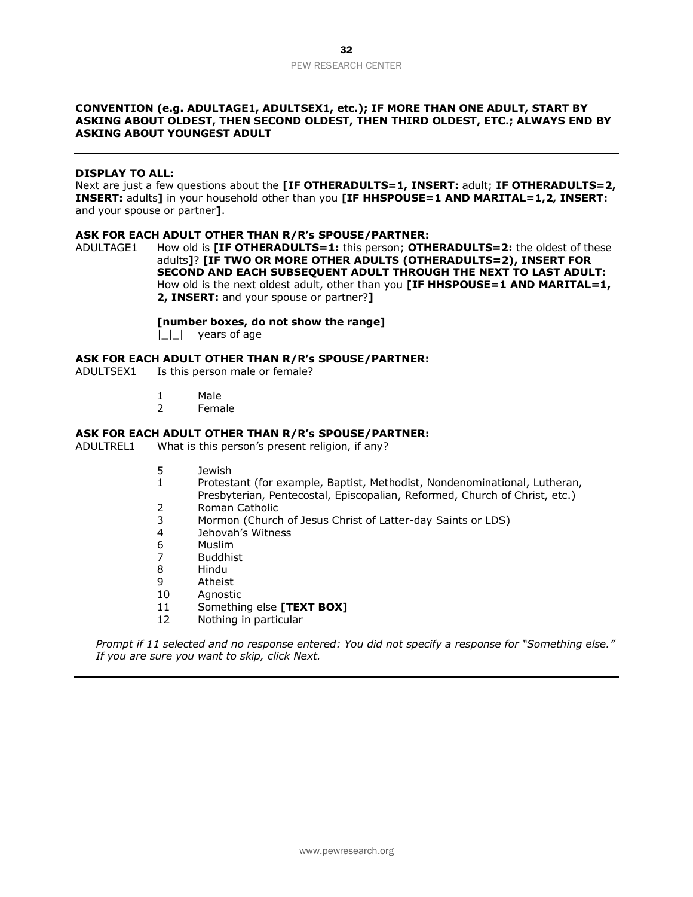# **CONVENTION (e.g. ADULTAGE1, ADULTSEX1, etc.); IF MORE THAN ONE ADULT, START BY ASKING ABOUT OLDEST, THEN SECOND OLDEST, THEN THIRD OLDEST, ETC.; ALWAYS END BY ASKING ABOUT YOUNGEST ADULT**

#### **DISPLAY TO ALL:**

Next are just a few questions about the **[IF OTHERADULTS=1, INSERT:** adult; **IF OTHERADULTS=2, INSERT:** adults**]** in your household other than you **[IF HHSPOUSE=1 AND MARITAL=1,2, INSERT:** and your spouse or partner**]**.

#### **ASK FOR EACH ADULT OTHER THAN R/R's SPOUSE/PARTNER:**

ADULTAGE1 How old is **[IF OTHERADULTS=1:** this person; **OTHERADULTS=2:** the oldest of these adults**]**? **[IF TWO OR MORE OTHER ADULTS (OTHERADULTS=2), INSERT FOR SECOND AND EACH SUBSEQUENT ADULT THROUGH THE NEXT TO LAST ADULT:** How old is the next oldest adult, other than you **[IF HHSPOUSE=1 AND MARITAL=1, 2, INSERT:** and your spouse or partner?**]**

**[number boxes, do not show the range]**

|\_|\_| years of age

#### **ASK FOR EACH ADULT OTHER THAN R/R's SPOUSE/PARTNER:**

ADULTSEX1 Is this person male or female?

- 1 Male
- 2 Female

# **ASK FOR EACH ADULT OTHER THAN R/R's SPOUSE/PARTNER:**

ADULTREL1 What is this person's present religion, if any?

- 5 Jewish
- 1 Protestant (for example, Baptist, Methodist, Nondenominational, Lutheran, Presbyterian, Pentecostal, Episcopalian, Reformed, Church of Christ, etc.)
- 2 Roman Catholic
- 3 Mormon (Church of Jesus Christ of Latter-day Saints or LDS)
- 4 Jehovah's Witness
- 6 Muslim
- 7 Buddhist
- 8 Hindu
- 9 Atheist
- 10 Agnostic
- 11 Something else **[TEXT BOX]**
- 12 Nothing in particular

*Prompt if 11 selected and no response entered: You did not specify a response for "Something else." If you are sure you want to skip, click Next.*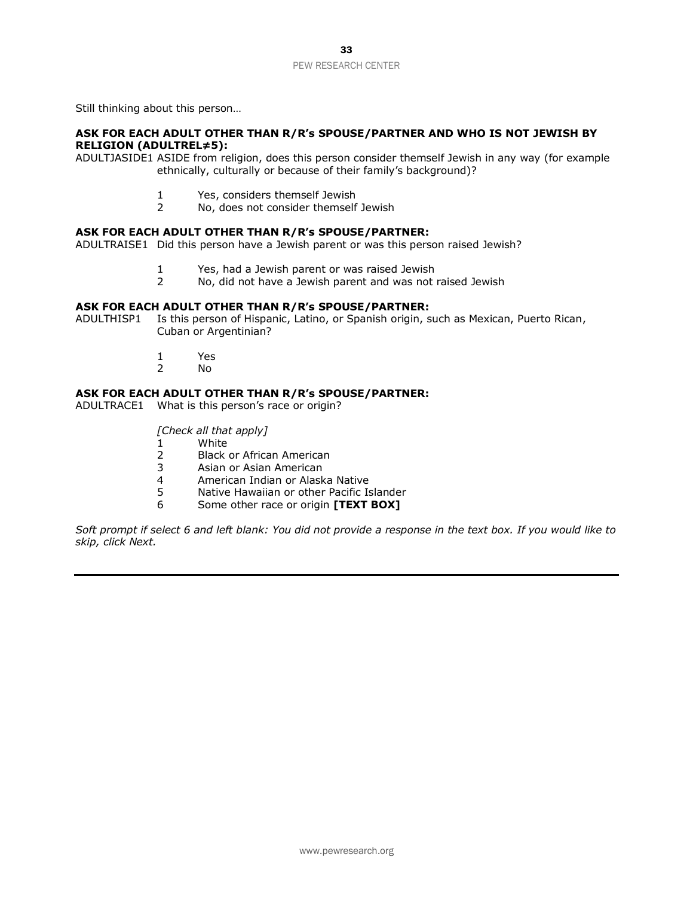Still thinking about this person…

### **ASK FOR EACH ADULT OTHER THAN R/R's SPOUSE/PARTNER AND WHO IS NOT JEWISH BY RELIGION (ADULTREL≠5):**

ADULTJASIDE1 ASIDE from religion, does this person consider themself Jewish in any way (for example ethnically, culturally or because of their family's background)?

- 1 Yes, considers themself Jewish
- 2 No, does not consider themself Jewish

### **ASK FOR EACH ADULT OTHER THAN R/R's SPOUSE/PARTNER:**

ADULTRAISE1 Did this person have a Jewish parent or was this person raised Jewish?

- 1 Yes, had a Jewish parent or was raised Jewish
- 2 No, did not have a Jewish parent and was not raised Jewish

### **ASK FOR EACH ADULT OTHER THAN R/R's SPOUSE/PARTNER:**

ADULTHISP1 Is this person of Hispanic, Latino, or Spanish origin, such as Mexican, Puerto Rican, Cuban or Argentinian?

- 1 Yes
- 2 No

#### **ASK FOR EACH ADULT OTHER THAN R/R's SPOUSE/PARTNER:**

ADULTRACE1 What is this person's race or origin?

*[Check all that apply]*

- 1 White
- 2 Black or African American
- 3 Asian or Asian American
- 4 American Indian or Alaska Native<br>5 Native Hawaiian or other Pacific Is
- 5 Native Hawaiian or other Pacific Islander
- 6 Some other race or origin **[TEXT BOX]**

*Soft prompt if select 6 and left blank: You did not provide a response in the text box. If you would like to skip, click Next.*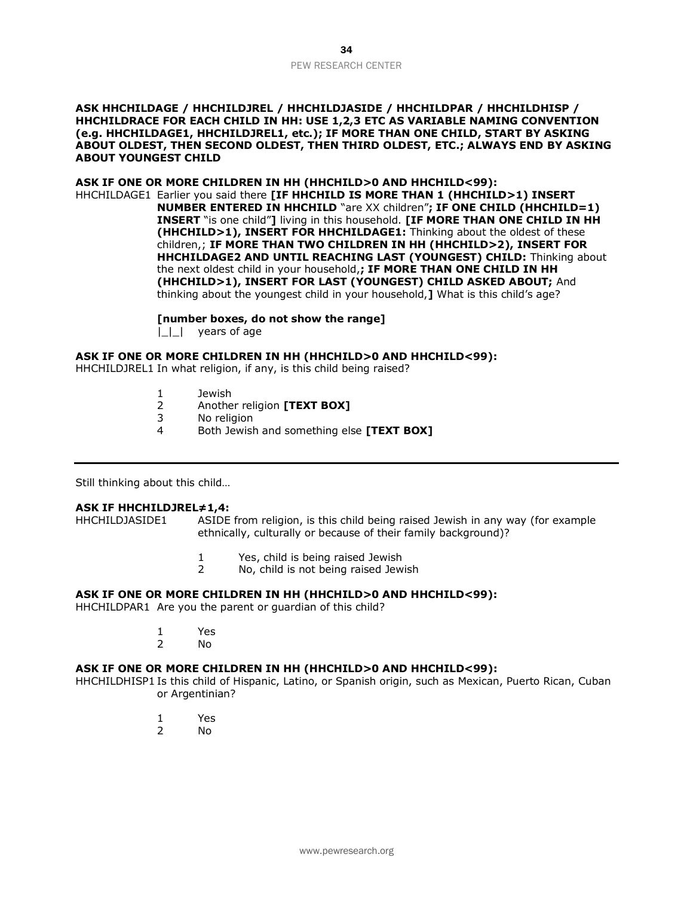# **ASK HHCHILDAGE / HHCHILDJREL / HHCHILDJASIDE / HHCHILDPAR / HHCHILDHISP / HHCHILDRACE FOR EACH CHILD IN HH: USE 1,2,3 ETC AS VARIABLE NAMING CONVENTION (e.g. HHCHILDAGE1, HHCHILDJREL1, etc.); IF MORE THAN ONE CHILD, START BY ASKING ABOUT OLDEST, THEN SECOND OLDEST, THEN THIRD OLDEST, ETC.; ALWAYS END BY ASKING ABOUT YOUNGEST CHILD**

### **ASK IF ONE OR MORE CHILDREN IN HH (HHCHILD>0 AND HHCHILD<99):**

HHCHILDAGE1 Earlier you said there **[IF HHCHILD IS MORE THAN 1 (HHCHILD>1) INSERT NUMBER ENTERED IN HHCHILD** "are XX children"**; IF ONE CHILD (HHCHILD=1) INSERT** "is one child"**]** living in this household. **[IF MORE THAN ONE CHILD IN HH (HHCHILD>1), INSERT FOR HHCHILDAGE1:** Thinking about the oldest of these children,; **IF MORE THAN TWO CHILDREN IN HH (HHCHILD>2), INSERT FOR HHCHILDAGE2 AND UNTIL REACHING LAST (YOUNGEST) CHILD:** Thinking about the next oldest child in your household,**; IF MORE THAN ONE CHILD IN HH (HHCHILD>1), INSERT FOR LAST (YOUNGEST) CHILD ASKED ABOUT;** And thinking about the youngest child in your household,**]** What is this child's age?

**[number boxes, do not show the range]**

|\_|\_| years of age

# **ASK IF ONE OR MORE CHILDREN IN HH (HHCHILD>0 AND HHCHILD<99):**

HHCHILDJREL1 In what religion, if any, is this child being raised?

- 1 Jewish
- 2 Another religion **[TEXT BOX]**
- 3 No religion
- 4 Both Jewish and something else **[TEXT BOX]**

Still thinking about this child…

#### **ASK IF HHCHILDJREL≠1,4:**

HHCHILDJASIDE1 ASIDE from religion, is this child being raised Jewish in any way (for example ethnically, culturally or because of their family background)?

- 1 Yes, child is being raised Jewish
- 2 No, child is not being raised Jewish

# **ASK IF ONE OR MORE CHILDREN IN HH (HHCHILD>0 AND HHCHILD<99):**

HHCHILDPAR1 Are you the parent or guardian of this child?

- 1 Yes
- 2 No

# **ASK IF ONE OR MORE CHILDREN IN HH (HHCHILD>0 AND HHCHILD<99):**

HHCHILDHISP1 Is this child of Hispanic, Latino, or Spanish origin, such as Mexican, Puerto Rican, Cuban or Argentinian?

- 1 Yes
- 2 No